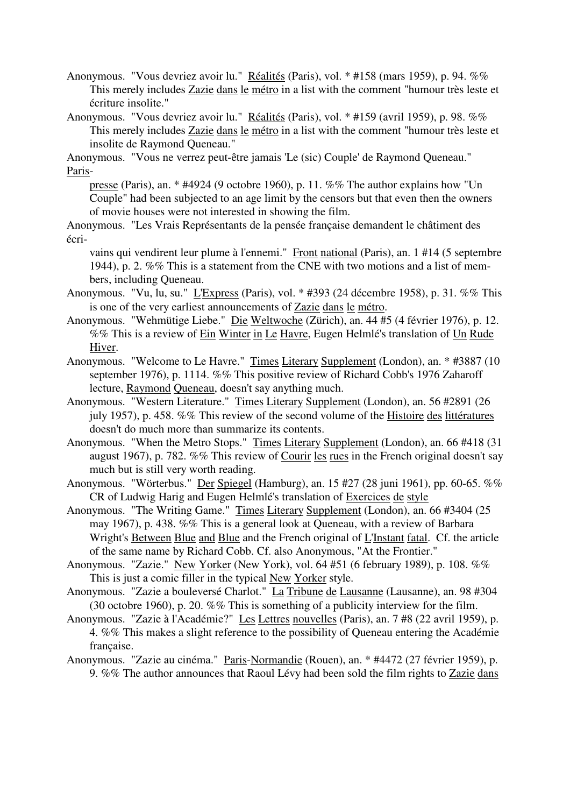- Anonymous. "Vous devriez avoir lu." Réalités (Paris), vol. \* #158 (mars 1959), p. 94. %% This merely includes Zazie dans le métro in a list with the comment "humour très leste et écriture insolite."
- Anonymous. "Vous devriez avoir lu." Réalités (Paris), vol. \* #159 (avril 1959), p. 98. %% This merely includes Zazie dans le métro in a list with the comment "humour très leste et insolite de Raymond Queneau."

Anonymous. "Vous ne verrez peut-être jamais 'Le (sic) Couple' de Raymond Queneau." Paris-

presse (Paris), an. \* #4924 (9 octobre 1960), p. 11. %% The author explains how "Un Couple" had been subjected to an age limit by the censors but that even then the owners of movie houses were not interested in showing the film.

Anonymous. "Les Vrais Représentants de la pensée française demandent le châtiment des écri-

vains qui vendirent leur plume à l'ennemi." Front national (Paris), an. 1 #14 (5 septembre 1944), p. 2. %% This is a statement from the CNE with two motions and a list of members, including Queneau.

- Anonymous. "Vu, lu, su." L'Express (Paris), vol. \* #393 (24 décembre 1958), p. 31. %% This is one of the very earliest announcements of Zazie dans le métro.
- Anonymous. "Wehmütige Liebe." Die Weltwoche (Zürich), an. 44 #5 (4 février 1976), p. 12. %% This is a review of Ein Winter in Le Havre, Eugen Helmlé's translation of Un Rude Hiver.
- Anonymous. "Welcome to Le Havre." Times Literary Supplement (London), an. \* #3887 (10 september 1976), p. 1114. %% This positive review of Richard Cobb's 1976 Zaharoff lecture, Raymond Queneau, doesn't say anything much.
- Anonymous. "Western Literature." Times Literary Supplement (London), an. 56 #2891 (26 july 1957), p. 458. %% This review of the second volume of the Histoire des littératures doesn't do much more than summarize its contents.
- Anonymous. "When the Metro Stops." Times Literary Supplement (London), an. 66 #418 (31 august 1967), p. 782. %% This review of Courir les rues in the French original doesn't say much but is still very worth reading.
- Anonymous. "Wörterbus." Der Spiegel (Hamburg), an. 15 #27 (28 juni 1961), pp. 60-65. %% CR of Ludwig Harig and Eugen Helmlé's translation of Exercices de style
- Anonymous. "The Writing Game." Times Literary Supplement (London), an. 66 #3404 (25 may 1967), p. 438. %% This is a general look at Queneau, with a review of Barbara Wright's Between Blue and Blue and the French original of L'Instant fatal. Cf. the article of the same name by Richard Cobb. Cf. also Anonymous, "At the Frontier."
- Anonymous. "Zazie." New Yorker (New York), vol. 64 #51 (6 february 1989), p. 108. %% This is just a comic filler in the typical New Yorker style.
- Anonymous. "Zazie a bouleversé Charlot." La Tribune de Lausanne (Lausanne), an. 98 #304 (30 octobre 1960), p. 20. %% This is something of a publicity interview for the film.
- Anonymous. "Zazie à l'Académie?" Les Lettres nouvelles (Paris), an. 7 #8 (22 avril 1959), p. 4. %% This makes a slight reference to the possibility of Queneau entering the Académie française.
- Anonymous. "Zazie au cinéma." Paris-Normandie (Rouen), an. \* #4472 (27 février 1959), p. 9. %% The author announces that Raoul Lévy had been sold the film rights to Zazie dans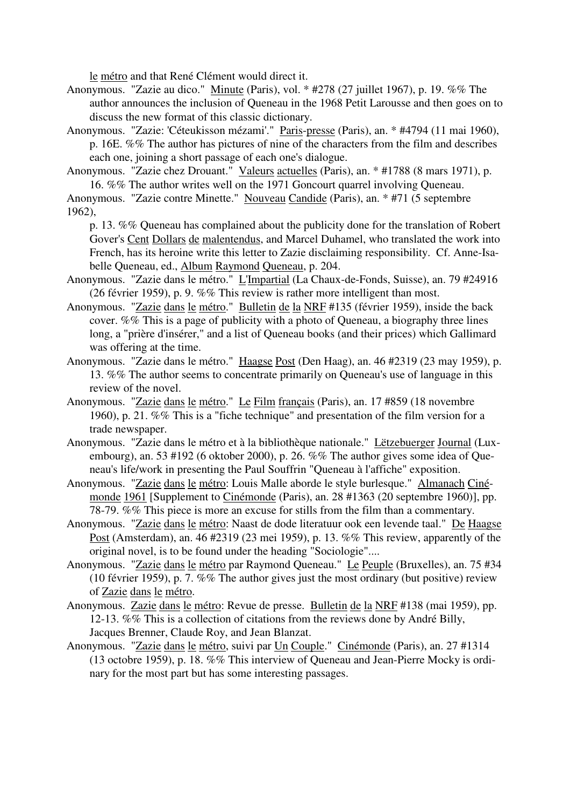le métro and that René Clément would direct it.

- Anonymous. "Zazie au dico." Minute (Paris), vol. \* #278 (27 juillet 1967), p. 19. %% The author announces the inclusion of Queneau in the 1968 Petit Larousse and then goes on to discuss the new format of this classic dictionary.
- Anonymous. "Zazie: 'Céteukisson mézami'." Paris-presse (Paris), an. \* #4794 (11 mai 1960), p. 16E. %% The author has pictures of nine of the characters from the film and describes each one, joining a short passage of each one's dialogue.
- Anonymous. "Zazie chez Drouant." Valeurs actuelles (Paris), an. \* #1788 (8 mars 1971), p. 16. %% The author writes well on the 1971 Goncourt quarrel involving Queneau.

Anonymous. "Zazie contre Minette." Nouveau Candide (Paris), an. \* #71 (5 septembre 1962),

- p. 13. %% Queneau has complained about the publicity done for the translation of Robert Gover's Cent Dollars de malentendus, and Marcel Duhamel, who translated the work into French, has its heroine write this letter to Zazie disclaiming responsibility. Cf. Anne-Isabelle Queneau, ed., Album Raymond Queneau, p. 204.
- Anonymous. "Zazie dans le métro." L'Impartial (La Chaux-de-Fonds, Suisse), an. 79 #24916 (26 février 1959), p. 9. %% This review is rather more intelligent than most.
- Anonymous. "Zazie dans le métro." Bulletin de la NRF #135 (février 1959), inside the back cover. %% This is a page of publicity with a photo of Queneau, a biography three lines long, a "prière d'insérer," and a list of Queneau books (and their prices) which Gallimard was offering at the time.
- Anonymous. "Zazie dans le métro." Haagse Post (Den Haag), an. 46 #2319 (23 may 1959), p. 13. %% The author seems to concentrate primarily on Queneau's use of language in this review of the novel.
- Anonymous. "Zazie dans le métro." Le Film français (Paris), an. 17 #859 (18 novembre 1960), p. 21. %% This is a "fiche technique" and presentation of the film version for a trade newspaper.
- Anonymous. "Zazie dans le métro et à la bibliothèque nationale." Lëtzebuerger Journal (Luxembourg), an. 53 #192 (6 oktober 2000), p. 26. %% The author gives some idea of Queneau's life/work in presenting the Paul Souffrin "Queneau à l'affiche" exposition.
- Anonymous. "Zazie dans le métro: Louis Malle aborde le style burlesque." Almanach Cinémonde 1961 [Supplement to Cinémonde (Paris), an. 28 #1363 (20 septembre 1960)], pp. 78-79. %% This piece is more an excuse for stills from the film than a commentary.
- Anonymous. "Zazie dans le métro: Naast de dode literatuur ook een levende taal." De Haagse Post (Amsterdam), an. 46 #2319 (23 mei 1959), p. 13. %% This review, apparently of the original novel, is to be found under the heading "Sociologie"....
- Anonymous. "Zazie dans le métro par Raymond Queneau." Le Peuple (Bruxelles), an. 75 #34 (10 février 1959), p. 7. %% The author gives just the most ordinary (but positive) review of Zazie dans le métro.
- Anonymous. Zazie dans le métro: Revue de presse. Bulletin de la NRF #138 (mai 1959), pp. 12-13. %% This is a collection of citations from the reviews done by André Billy, Jacques Brenner, Claude Roy, and Jean Blanzat.
- Anonymous. "Zazie dans le métro, suivi par Un Couple." Cinémonde (Paris), an. 27 #1314 (13 octobre 1959), p. 18. %% This interview of Queneau and Jean-Pierre Mocky is ordinary for the most part but has some interesting passages.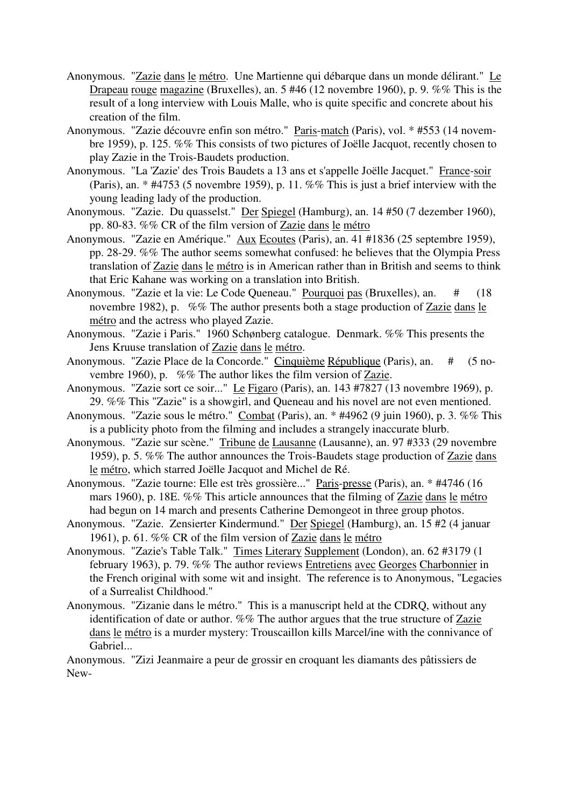- Anonymous. "Zazie dans le métro. Une Martienne qui débarque dans un monde délirant." Le Drapeau rouge magazine (Bruxelles), an. 5 #46 (12 novembre 1960), p. 9. %% This is the result of a long interview with Louis Malle, who is quite specific and concrete about his creation of the film.
- Anonymous. "Zazie découvre enfin son métro." Paris-match (Paris), vol. \* #553 (14 novembre 1959), p. 125. %% This consists of two pictures of Joëlle Jacquot, recently chosen to play Zazie in the Trois-Baudets production.
- Anonymous. "La 'Zazie' des Trois Baudets a 13 ans et s'appelle Joëlle Jacquet." France-soir (Paris), an. \* #4753 (5 novembre 1959), p. 11. %% This is just a brief interview with the young leading lady of the production.
- Anonymous. "Zazie. Du quasselst." Der Spiegel (Hamburg), an. 14 #50 (7 dezember 1960), pp. 80-83. %% CR of the film version of Zazie dans le métro
- Anonymous. "Zazie en Amérique." Aux Ecoutes (Paris), an. 41 #1836 (25 septembre 1959), pp. 28-29. %% The author seems somewhat confused: he believes that the Olympia Press translation of Zazie dans le métro is in American rather than in British and seems to think that Eric Kahane was working on a translation into British.
- Anonymous. "Zazie et la vie: Le Code Queneau." Pourquoi pas (Bruxelles), an. # (18 novembre 1982), p. %% The author presents both a stage production of Zazie dans le métro and the actress who played Zazie.
- Anonymous. "Zazie i Paris." 1960 Schønberg catalogue. Denmark. %% This presents the Jens Kruuse translation of Zazie dans le métro.
- Anonymous. "Zazie Place de la Concorde." Cinquième République (Paris), an. # (5 novembre 1960), p. %% The author likes the film version of Zazie.
- Anonymous. "Zazie sort ce soir..." Le Figaro (Paris), an. 143 #7827 (13 novembre 1969), p. 29. %% This "Zazie" is a showgirl, and Queneau and his novel are not even mentioned.
- Anonymous. "Zazie sous le métro." Combat (Paris), an. \* #4962 (9 juin 1960), p. 3. %% This is a publicity photo from the filming and includes a strangely inaccurate blurb.
- Anonymous. "Zazie sur scène." Tribune de Lausanne (Lausanne), an. 97 #333 (29 novembre 1959), p. 5. %% The author announces the Trois-Baudets stage production of Zazie dans le métro, which starred Joëlle Jacquot and Michel de Ré.
- Anonymous. "Zazie tourne: Elle est très grossière..." Paris-presse (Paris), an. \* #4746 (16 mars 1960), p. 18E. %% This article announces that the filming of Zazie dans le métro had begun on 14 march and presents Catherine Demongeot in three group photos.
- Anonymous. "Zazie. Zensierter Kindermund." Der Spiegel (Hamburg), an. 15 #2 (4 januar 1961), p. 61. %% CR of the film version of Zazie dans le métro
- Anonymous. "Zazie's Table Talk." Times Literary Supplement (London), an. 62 #3179 (1 february 1963), p. 79. %% The author reviews Entretiens avec Georges Charbonnier in the French original with some wit and insight. The reference is to Anonymous, "Legacies of a Surrealist Childhood."
- Anonymous. "Zizanie dans le métro." This is a manuscript held at the CDRQ, without any identification of date or author. %% The author argues that the true structure of Zazie dans le métro is a murder mystery: Trouscaillon kills Marcel/ine with the connivance of Gabriel...

Anonymous. "Zizi Jeanmaire a peur de grossir en croquant les diamants des pâtissiers de New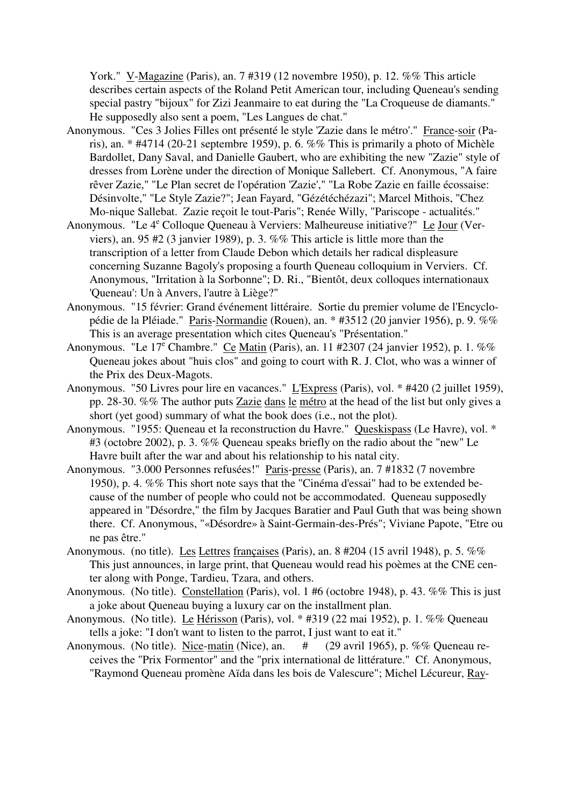York." V-Magazine (Paris), an. 7 #319 (12 novembre 1950), p. 12. %% This article describes certain aspects of the Roland Petit American tour, including Queneau's sending special pastry "bijoux" for Zizi Jeanmaire to eat during the "La Croqueuse de diamants." He supposedly also sent a poem, "Les Langues de chat."

- Anonymous. "Ces 3 Jolies Filles ont présenté le style 'Zazie dans le métro'." France-soir (Paris), an. \* #4714 (20-21 septembre 1959), p. 6. %% This is primarily a photo of Michèle Bardollet, Dany Saval, and Danielle Gaubert, who are exhibiting the new "Zazie" style of dresses from Lorène under the direction of Monique Sallebert. Cf. Anonymous, "A faire rêver Zazie," "Le Plan secret de l'opération 'Zazie'," "La Robe Zazie en faille écossaise: Désinvolte," "Le Style Zazie?"; Jean Fayard, "Gézétéchézazi"; Marcel Mithois, "Chez Mo-nique Sallebat. Zazie reçoit le tout-Paris"; Renée Willy, "Pariscope - actualités."
- Anonymous. "Le 4<sup>e</sup> Colloque Queneau à Verviers: Malheureuse initiative?" Le Jour (Verviers), an. 95 #2 (3 janvier 1989), p. 3. %% This article is little more than the transcription of a letter from Claude Debon which details her radical displeasure concerning Suzanne Bagoly's proposing a fourth Queneau colloquium in Verviers. Cf. Anonymous, "Irritation à la Sorbonne"; D. Ri., "Bientôt, deux colloques internationaux 'Queneau': Un à Anvers, l'autre à Liège?"
- Anonymous. "15 février: Grand événement littéraire. Sortie du premier volume de l'Encyclopédie de la Pléiade." Paris-Normandie (Rouen), an. \* #3512 (20 janvier 1956), p. 9. %% This is an average presentation which cites Queneau's "Présentation."
- Anonymous. "Le 17<sup>e</sup> Chambre." Ce Matin (Paris), an. 11 #2307 (24 janvier 1952), p. 1. %% Queneau jokes about "huis clos" and going to court with R. J. Clot, who was a winner of the Prix des Deux-Magots.
- Anonymous. "50 Livres pour lire en vacances." L'Express (Paris), vol. \* #420 (2 juillet 1959), pp. 28-30. %% The author puts Zazie dans le métro at the head of the list but only gives a short (yet good) summary of what the book does (i.e., not the plot).
- Anonymous. "1955: Queneau et la reconstruction du Havre." Queskispass (Le Havre), vol. \* #3 (octobre 2002), p. 3. %% Queneau speaks briefly on the radio about the "new" Le Havre built after the war and about his relationship to his natal city.
- Anonymous. "3.000 Personnes refusées!" Paris-presse (Paris), an. 7 #1832 (7 novembre 1950), p. 4. %% This short note says that the "Cinéma d'essai" had to be extended because of the number of people who could not be accommodated. Queneau supposedly appeared in "Désordre," the film by Jacques Baratier and Paul Guth that was being shown there. Cf. Anonymous, "«Désordre» à Saint-Germain-des-Prés"; Viviane Papote, "Etre ou ne pas être."
- Anonymous. (no title). Les Lettres françaises (Paris), an. 8 #204 (15 avril 1948), p. 5. %% This just announces, in large print, that Queneau would read his poèmes at the CNE center along with Ponge, Tardieu, Tzara, and others.
- Anonymous. (No title). Constellation (Paris), vol. 1 #6 (octobre 1948), p. 43. %% This is just a joke about Queneau buying a luxury car on the installment plan.
- Anonymous. (No title). Le Hérisson (Paris), vol. \* #319 (22 mai 1952), p. 1. %% Queneau tells a joke: "I don't want to listen to the parrot, I just want to eat it."
- Anonymous. (No title). Nice-matin (Nice), an. # (29 avril 1965), p. %% Queneau receives the "Prix Formentor" and the "prix international de littérature." Cf. Anonymous, "Raymond Queneau promène Aïda dans les bois de Valescure"; Michel Lécureur, Ray-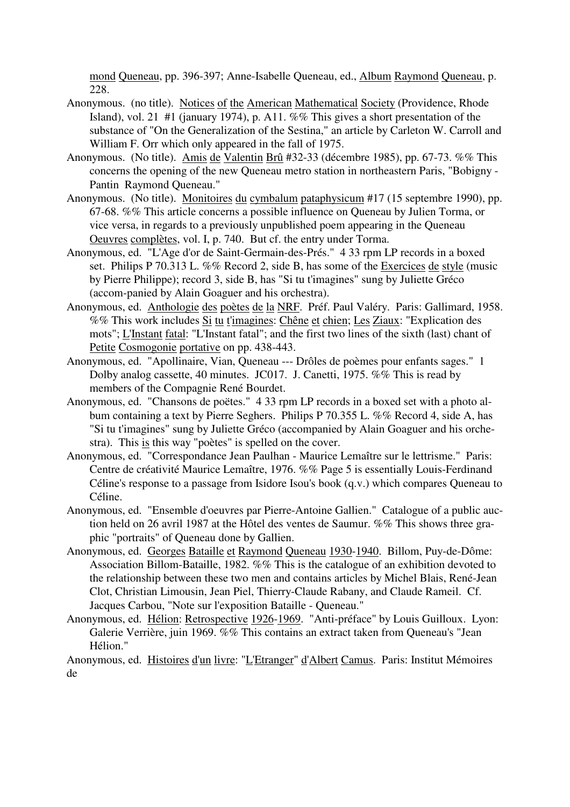mond Queneau, pp. 396-397; Anne-Isabelle Queneau, ed., Album Raymond Queneau, p. 228.

- Anonymous. (no title). Notices of the American Mathematical Society (Providence, Rhode Island), vol. 21 #1 (january 1974), p. A11. %% This gives a short presentation of the substance of "On the Generalization of the Sestina," an article by Carleton W. Carroll and William F. Orr which only appeared in the fall of 1975.
- Anonymous. (No title). Amis de Valentin Brû #32-33 (décembre 1985), pp. 67-73. %% This concerns the opening of the new Queneau metro station in northeastern Paris, "Bobigny - Pantin Raymond Queneau."
- Anonymous. (No title). Monitoires du cymbalum pataphysicum #17 (15 septembre 1990), pp. 67-68. %% This article concerns a possible influence on Queneau by Julien Torma, or vice versa, in regards to a previously unpublished poem appearing in the Queneau Oeuvres complètes, vol. I, p. 740. But cf. the entry under Torma.
- Anonymous, ed. "L'Age d'or de Saint-Germain-des-Prés." 4 33 rpm LP records in a boxed set. Philips P 70.313 L. %% Record 2, side B, has some of the Exercices de style (music by Pierre Philippe); record 3, side B, has "Si tu t'imagines" sung by Juliette Gréco (accom-panied by Alain Goaguer and his orchestra).
- Anonymous, ed. Anthologie des poètes de la NRF. Préf. Paul Valéry. Paris: Gallimard, 1958. %% This work includes Si tu t'imagines: Chêne et chien; Les Ziaux: "Explication des mots"; L'Instant fatal: "L'Instant fatal"; and the first two lines of the sixth (last) chant of Petite Cosmogonie portative on pp. 438-443.
- Anonymous, ed. "Apollinaire, Vian, Queneau --- Drôles de poèmes pour enfants sages." 1 Dolby analog cassette, 40 minutes. JC017. J. Canetti, 1975. %% This is read by members of the Compagnie René Bourdet.
- Anonymous, ed. "Chansons de poëtes." 4 33 rpm LP records in a boxed set with a photo album containing a text by Pierre Seghers. Philips P 70.355 L. %% Record 4, side A, has "Si tu t'imagines" sung by Juliette Gréco (accompanied by Alain Goaguer and his orchestra). This is this way "poètes" is spelled on the cover.
- Anonymous, ed. "Correspondance Jean Paulhan Maurice Lemaître sur le lettrisme." Paris: Centre de créativité Maurice Lemaître, 1976. %% Page 5 is essentially Louis-Ferdinand Céline's response to a passage from Isidore Isou's book (q.v.) which compares Queneau to Céline.
- Anonymous, ed. "Ensemble d'oeuvres par Pierre-Antoine Gallien." Catalogue of a public auction held on 26 avril 1987 at the Hôtel des ventes de Saumur. %% This shows three graphic "portraits" of Queneau done by Gallien.
- Anonymous, ed. Georges Bataille et Raymond Queneau 1930-1940. Billom, Puy-de-Dôme: Association Billom-Bataille, 1982. %% This is the catalogue of an exhibition devoted to the relationship between these two men and contains articles by Michel Blais, René-Jean Clot, Christian Limousin, Jean Piel, Thierry-Claude Rabany, and Claude Rameil. Cf. Jacques Carbou, "Note sur l'exposition Bataille - Queneau."
- Anonymous, ed. Hélion: Retrospective 1926-1969. "Anti-préface" by Louis Guilloux. Lyon: Galerie Verrière, juin 1969. %% This contains an extract taken from Queneau's "Jean Hélion."

Anonymous, ed. Histoires d'un livre: "L'Etranger" d'Albert Camus. Paris: Institut Mémoires de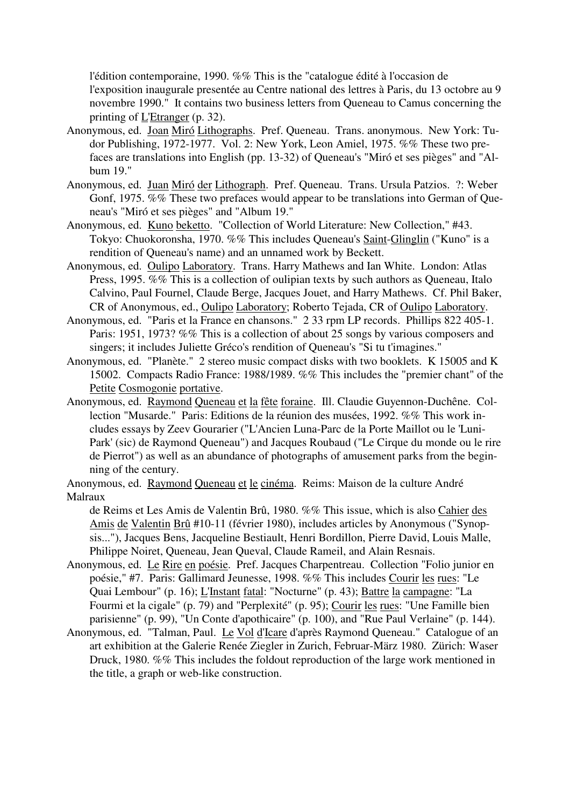l'édition contemporaine, 1990. %% This is the "catalogue édité à l'occasion de l'exposition inaugurale presentée au Centre national des lettres à Paris, du 13 octobre au 9 novembre 1990." It contains two business letters from Queneau to Camus concerning the printing of <u>L'Etranger</u> (p. 32).

- Anonymous, ed. Joan Miró Lithographs. Pref. Queneau. Trans. anonymous. New York: Tudor Publishing, 1972-1977. Vol. 2: New York, Leon Amiel, 1975. %% These two prefaces are translations into English (pp. 13-32) of Queneau's "Miró et ses pièges" and "Album 19."
- Anonymous, ed. Juan Miró der Lithograph. Pref. Queneau. Trans. Ursula Patzios. ?: Weber Gonf, 1975. %% These two prefaces would appear to be translations into German of Queneau's "Miró et ses pièges" and "Album 19."
- Anonymous, ed. Kuno beketto. "Collection of World Literature: New Collection," #43. Tokyo: Chuokoronsha, 1970. %% This includes Queneau's Saint-Glinglin ("Kuno" is a rendition of Queneau's name) and an unnamed work by Beckett.
- Anonymous, ed. Oulipo Laboratory. Trans. Harry Mathews and Ian White. London: Atlas Press, 1995. %% This is a collection of oulipian texts by such authors as Queneau, Italo Calvino, Paul Fournel, Claude Berge, Jacques Jouet, and Harry Mathews. Cf. Phil Baker, CR of Anonymous, ed., Oulipo Laboratory; Roberto Tejada, CR of Oulipo Laboratory.
- Anonymous, ed. "Paris et la France en chansons." 2 33 rpm LP records. Phillips 822 405-1. Paris: 1951, 1973? %% This is a collection of about 25 songs by various composers and singers; it includes Juliette Gréco's rendition of Queneau's "Si tu t'imagines."
- Anonymous, ed. "Planète." 2 stereo music compact disks with two booklets. K 15005 and K 15002. Compacts Radio France: 1988/1989. %% This includes the "premier chant" of the Petite Cosmogonie portative.
- Anonymous, ed. Raymond Queneau et la fête foraine. Ill. Claudie Guyennon-Duchêne. Collection "Musarde." Paris: Editions de la réunion des musées, 1992. %% This work includes essays by Zeev Gourarier ("L'Ancien Luna-Parc de la Porte Maillot ou le 'Luni-Park' (sic) de Raymond Queneau") and Jacques Roubaud ("Le Cirque du monde ou le rire de Pierrot") as well as an abundance of photographs of amusement parks from the beginning of the century.
- Anonymous, ed. Raymond Queneau et le cinéma. Reims: Maison de la culture André Malraux

de Reims et Les Amis de Valentin Brû, 1980. %% This issue, which is also Cahier des Amis de Valentin Brû #10-11 (février 1980), includes articles by Anonymous ("Synopsis..."), Jacques Bens, Jacqueline Bestiault, Henri Bordillon, Pierre David, Louis Malle, Philippe Noiret, Queneau, Jean Queval, Claude Rameil, and Alain Resnais.

- Anonymous, ed. Le Rire en poésie. Pref. Jacques Charpentreau. Collection "Folio junior en poésie," #7. Paris: Gallimard Jeunesse, 1998. %% This includes Courir les rues: "Le Quai Lembour" (p. 16); L'Instant fatal: "Nocturne" (p. 43); Battre la campagne: "La Fourmi et la cigale" (p. 79) and "Perplexité" (p. 95); Courir les rues: "Une Famille bien parisienne" (p. 99), "Un Conte d'apothicaire" (p. 100), and "Rue Paul Verlaine" (p. 144).
- Anonymous, ed. "Talman, Paul. Le Vol d'Icare d'après Raymond Queneau." Catalogue of an art exhibition at the Galerie Renée Ziegler in Zurich, Februar-März 1980. Zürich: Waser Druck, 1980. %% This includes the foldout reproduction of the large work mentioned in the title, a graph or web-like construction.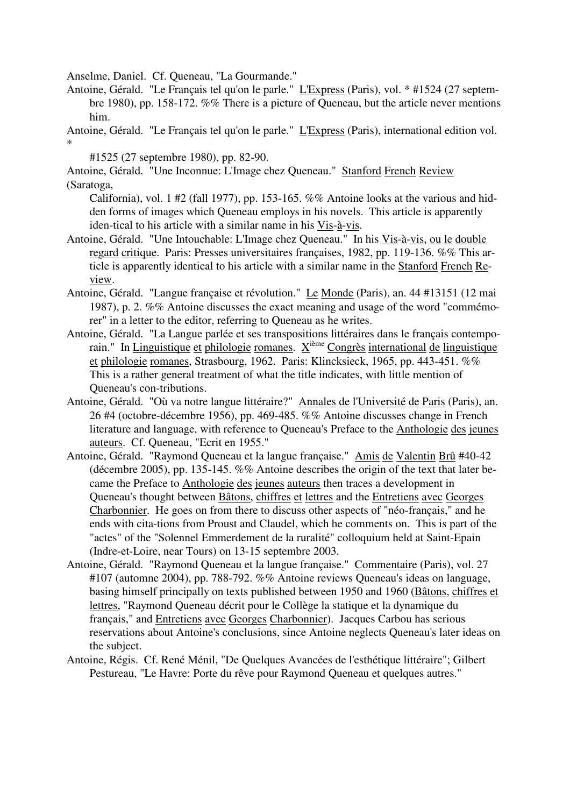Anselme, Daniel. Cf. Queneau, "La Gourmande."

Antoine, Gérald. "Le Français tel qu'on le parle." L'Express (Paris), vol. \* #1524 (27 septembre 1980), pp. 158-172. %% There is a picture of Queneau, but the article never mentions him.

Antoine, Gérald. "Le Français tel qu'on le parle." L'Express (Paris), international edition vol. \*

#1525 (27 septembre 1980), pp. 82-90.

Antoine, Gérald. "Une Inconnue: L'Image chez Queneau." Stanford French Review (Saratoga,

California), vol. 1 #2 (fall 1977), pp. 153-165. %% Antoine looks at the various and hidden forms of images which Queneau employs in his novels. This article is apparently iden-tical to his article with a similar name in his Vis-à-vis.

- Antoine, Gérald. "Une Intouchable: L'Image chez Queneau." In his Vis-à-vis, ou le double regard critique. Paris: Presses universitaires françaises, 1982, pp. 119-136. %% This article is apparently identical to his article with a similar name in the Stanford French Review.
- Antoine, Gérald. "Langue française et révolution." Le Monde (Paris), an. 44 #13151 (12 mai 1987), p. 2. %% Antoine discusses the exact meaning and usage of the word "commémorer" in a letter to the editor, referring to Queneau as he writes.
- Antoine, Gérald. "La Langue parlée et ses transpositions littéraires dans le français contemporain." In Linguistique et philologie romanes.  $X^{i\text{eme}}$  Congrès international de linguistique et philologie romanes, Strasbourg, 1962. Paris: Klincksieck, 1965, pp. 443-451. %% This is a rather general treatment of what the title indicates, with little mention of Queneau's con-tributions.
- Antoine, Gérald. "Où va notre langue littéraire?" Annales de l'Université de Paris (Paris), an. 26 #4 (octobre-décembre 1956), pp. 469-485. %% Antoine discusses change in French literature and language, with reference to Queneau's Preface to the Anthologie des jeunes auteurs. Cf. Queneau, "Ecrit en 1955."
- Antoine, Gérald. "Raymond Queneau et la langue française." Amis de Valentin Brû #40-42 (décembre 2005), pp. 135-145. %% Antoine describes the origin of the text that later became the Preface to Anthologie des jeunes auteurs then traces a development in Queneau's thought between Bâtons, chiffres et lettres and the Entretiens avec Georges Charbonnier. He goes on from there to discuss other aspects of "néo-français," and he ends with cita-tions from Proust and Claudel, which he comments on. This is part of the "actes" of the "Solennel Emmerdement de la ruralité" colloquium held at Saint-Epain (Indre-et-Loire, near Tours) on 13-15 septembre 2003.
- Antoine, Gérald. "Raymond Queneau et la langue française." Commentaire (Paris), vol. 27 #107 (automne 2004), pp. 788-792. %% Antoine reviews Queneau's ideas on language, basing himself principally on texts published between 1950 and 1960 (Bâtons, chiffres et lettres, "Raymond Queneau décrit pour le Collège la statique et la dynamique du français," and Entretiens avec Georges Charbonnier). Jacques Carbou has serious reservations about Antoine's conclusions, since Antoine neglects Queneau's later ideas on the subject.
- Antoine, Régis. Cf. René Ménil, "De Quelques Avancées de l'esthétique littéraire"; Gilbert Pestureau, "Le Havre: Porte du rêve pour Raymond Queneau et quelques autres."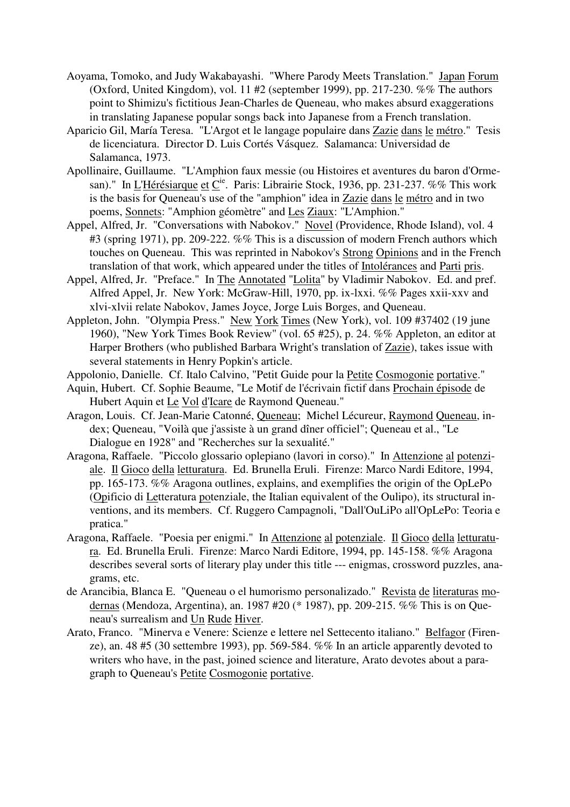- Aoyama, Tomoko, and Judy Wakabayashi. "Where Parody Meets Translation." Japan Forum (Oxford, United Kingdom), vol. 11 #2 (september 1999), pp. 217-230. %% The authors point to Shimizu's fictitious Jean-Charles de Queneau, who makes absurd exaggerations in translating Japanese popular songs back into Japanese from a French translation.
- Aparicio Gil, María Teresa. "L'Argot et le langage populaire dans Zazie dans le métro." Tesis de licenciatura. Director D. Luis Cortés Vásquez. Salamanca: Universidad de Salamanca, 1973.
- Apollinaire, Guillaume. "L'Amphion faux messie (ou Histoires et aventures du baron d'Ormesan)." In L'Hérésiarque et C<sup>ie</sup>. Paris: Librairie Stock, 1936, pp. 231-237. %% This work is the basis for Queneau's use of the "amphion" idea in Zazie dans le métro and in two poems, Sonnets: "Amphion géomètre" and Les Ziaux: "L'Amphion."
- Appel, Alfred, Jr. "Conversations with Nabokov." Novel (Providence, Rhode Island), vol. 4 #3 (spring 1971), pp. 209-222. %% This is a discussion of modern French authors which touches on Queneau. This was reprinted in Nabokov's Strong Opinions and in the French translation of that work, which appeared under the titles of Intolérances and Parti pris.
- Appel, Alfred, Jr. "Preface." In The Annotated "Lolita" by Vladimir Nabokov. Ed. and pref. Alfred Appel, Jr. New York: McGraw-Hill, 1970, pp. ix-lxxi. %% Pages xxii-xxv and xlvi-xlvii relate Nabokov, James Joyce, Jorge Luis Borges, and Queneau.
- Appleton, John. "Olympia Press." New York Times (New York), vol. 109 #37402 (19 june 1960), "New York Times Book Review" (vol. 65 #25), p. 24. %% Appleton, an editor at Harper Brothers (who published Barbara Wright's translation of Zazie), takes issue with several statements in Henry Popkin's article.
- Appolonio, Danielle. Cf. Italo Calvino, "Petit Guide pour la Petite Cosmogonie portative."
- Aquin, Hubert. Cf. Sophie Beaume, "Le Motif de l'écrivain fictif dans Prochain épisode de Hubert Aquin et Le Vol d'Icare de Raymond Queneau."
- Aragon, Louis. Cf. Jean-Marie Catonné, Queneau; Michel Lécureur, Raymond Queneau, index; Queneau, "Voilà que j'assiste à un grand dîner officiel"; Queneau et al., "Le Dialogue en 1928" and "Recherches sur la sexualité."
- Aragona, Raffaele. "Piccolo glossario oplepiano (lavori in corso)." In Attenzione al potenziale. Il Gioco della letturatura. Ed. Brunella Eruli. Firenze: Marco Nardi Editore, 1994, pp. 165-173. %% Aragona outlines, explains, and exemplifies the origin of the OpLePo (Opificio di Letteratura potenziale, the Italian equivalent of the Oulipo), its structural inventions, and its members. Cf. Ruggero Campagnoli, "Dall'OuLiPo all'OpLePo: Teoria e pratica."
- Aragona, Raffaele. "Poesia per enigmi." In Attenzione al potenziale. Il Gioco della letturatura. Ed. Brunella Eruli. Firenze: Marco Nardi Editore, 1994, pp. 145-158. %% Aragona describes several sorts of literary play under this title --- enigmas, crossword puzzles, anagrams, etc.
- de Arancibia, Blanca E. "Queneau o el humorismo personalizado." Revista de literaturas modernas (Mendoza, Argentina), an. 1987 #20 (\* 1987), pp. 209-215. %% This is on Queneau's surrealism and Un Rude Hiver.
- Arato, Franco. "Minerva e Venere: Scienze e lettere nel Settecento italiano." Belfagor (Firenze), an. 48 #5 (30 settembre 1993), pp. 569-584. %% In an article apparently devoted to writers who have, in the past, joined science and literature, Arato devotes about a paragraph to Queneau's Petite Cosmogonie portative.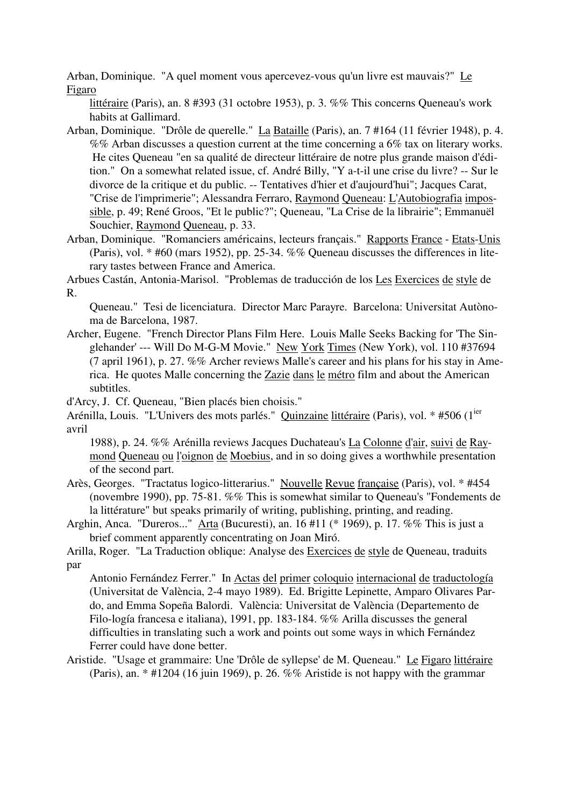Arban, Dominique. "A quel moment vous apercevez-vous qu'un livre est mauvais?" Le Figaro

littéraire (Paris), an. 8 #393 (31 octobre 1953), p. 3. %% This concerns Queneau's work habits at Gallimard.

- Arban, Dominique. "Drôle de querelle." La Bataille (Paris), an. 7 #164 (11 février 1948), p. 4. %% Arban discusses a question current at the time concerning a 6% tax on literary works. He cites Queneau "en sa qualité de directeur littéraire de notre plus grande maison d'édition." On a somewhat related issue, cf. André Billy, "Y a-t-il une crise du livre? -- Sur le divorce de la critique et du public. -- Tentatives d'hier et d'aujourd'hui"; Jacques Carat, "Crise de l'imprimerie"; Alessandra Ferraro, Raymond Queneau: L'Autobiografia impossible, p. 49; René Groos, "Et le public?"; Queneau, "La Crise de la librairie"; Emmanuël Souchier, Raymond Queneau, p. 33.
- Arban, Dominique. "Romanciers américains, lecteurs français." Rapports France Etats-Unis (Paris), vol. \* #60 (mars 1952), pp. 25-34. %% Queneau discusses the differences in literary tastes between France and America.

Arbues Castán, Antonia-Marisol. "Problemas de traducción de los Les Exercices de style de R.

Queneau." Tesi de licenciatura. Director Marc Parayre. Barcelona: Universitat Autònoma de Barcelona, 1987.

Archer, Eugene. "French Director Plans Film Here. Louis Malle Seeks Backing for 'The Singlehander' --- Will Do M-G-M Movie." New York Times (New York), vol. 110 #37694 (7 april 1961), p. 27. %% Archer reviews Malle's career and his plans for his stay in America. He quotes Malle concerning the Zazie dans le métro film and about the American subtitles.

d'Arcy, J. Cf. Queneau, "Bien placés bien choisis."

Arénilla, Louis. "L'Univers des mots parlés." Quinzaine littéraire (Paris), vol. \* #506 (1<sup>ier</sup>) avril

1988), p. 24. %% Arénilla reviews Jacques Duchateau's La Colonne d'air, suivi de Raymond Queneau ou l'oignon de Moebius, and in so doing gives a worthwhile presentation of the second part.

- Arès, Georges. "Tractatus logico-litterarius." Nouvelle Revue française (Paris), vol. \* #454 (novembre 1990), pp. 75-81. %% This is somewhat similar to Queneau's "Fondements de la littérature" but speaks primarily of writing, publishing, printing, and reading.
- Arghin, Anca. "Dureros..." Arta (Bucuresti), an. 16 #11 (\* 1969), p. 17. %% This is just a brief comment apparently concentrating on Joan Miró.

Arilla, Roger. "La Traduction oblique: Analyse des Exercices de style de Queneau, traduits par

Antonio Fernández Ferrer." In Actas del primer coloquio internacional de traductología (Universitat de València, 2-4 mayo 1989). Ed. Brigitte Lepinette, Amparo Olivares Pardo, and Emma Sopeña Balordi. València: Universitat de València (Departemento de Filo-logía francesa e italiana), 1991, pp. 183-184. %% Arilla discusses the general difficulties in translating such a work and points out some ways in which Fernández Ferrer could have done better.

Aristide. "Usage et grammaire: Une 'Drôle de syllepse' de M. Queneau." Le Figaro littéraire (Paris), an. \* #1204 (16 juin 1969), p. 26. %% Aristide is not happy with the grammar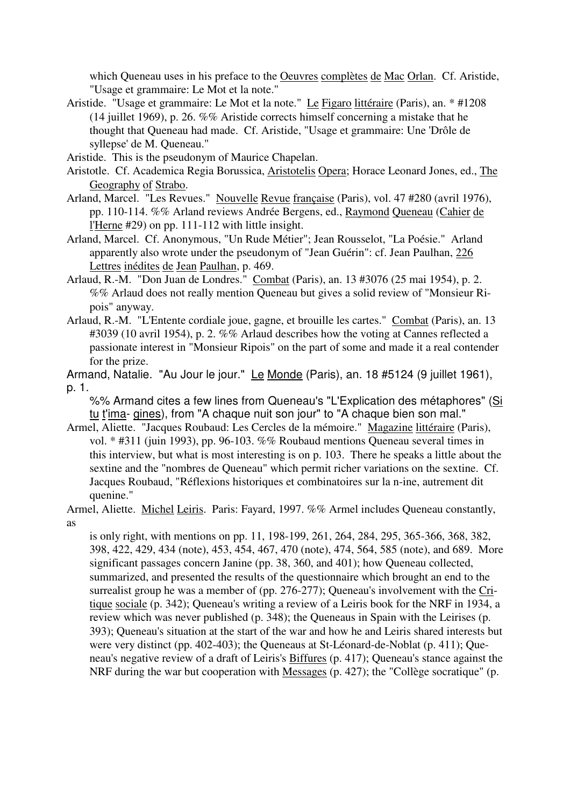which Queneau uses in his preface to the Oeuvres complètes de Mac Orlan. Cf. Aristide, "Usage et grammaire: Le Mot et la note."

- Aristide. "Usage et grammaire: Le Mot et la note." Le Figaro littéraire (Paris), an. \* #1208 (14 juillet 1969), p. 26. %% Aristide corrects himself concerning a mistake that he thought that Queneau had made. Cf. Aristide, "Usage et grammaire: Une 'Drôle de syllepse' de M. Queneau."
- Aristide. This is the pseudonym of Maurice Chapelan.
- Aristotle. Cf. Academica Regia Borussica, Aristotelis Opera; Horace Leonard Jones, ed., The Geography of Strabo.
- Arland, Marcel. "Les Revues." Nouvelle Revue française (Paris), vol. 47 #280 (avril 1976), pp. 110-114. %% Arland reviews Andrée Bergens, ed., Raymond Queneau (Cahier de l'Herne #29) on pp. 111-112 with little insight.
- Arland, Marcel. Cf. Anonymous, "Un Rude Métier"; Jean Rousselot, "La Poésie." Arland apparently also wrote under the pseudonym of "Jean Guérin": cf. Jean Paulhan, 226 Lettres inédites de Jean Paulhan, p. 469.
- Arlaud, R.-M. "Don Juan de Londres." Combat (Paris), an. 13 #3076 (25 mai 1954), p. 2. %% Arlaud does not really mention Queneau but gives a solid review of "Monsieur Ripois" anyway.
- Arlaud, R.-M. "L'Entente cordiale joue, gagne, et brouille les cartes." Combat (Paris), an. 13 #3039 (10 avril 1954), p. 2. %% Arlaud describes how the voting at Cannes reflected a passionate interest in "Monsieur Ripois" on the part of some and made it a real contender for the prize.
- Armand, Natalie. "Au Jour le jour." Le Monde (Paris), an. 18 #5124 (9 juillet 1961), p. 1.
	- %% Armand cites a few lines from Queneau's "L'Explication des métaphores" (Si tu t'ima- gines), from "A chaque nuit son jour" to "A chaque bien son mal."
- Armel, Aliette. "Jacques Roubaud: Les Cercles de la mémoire." Magazine littéraire (Paris), vol. \* #311 (juin 1993), pp. 96-103. %% Roubaud mentions Queneau several times in this interview, but what is most interesting is on p. 103. There he speaks a little about the sextine and the "nombres de Queneau" which permit richer variations on the sextine. Cf. Jacques Roubaud, "Réflexions historiques et combinatoires sur la n-ine, autrement dit quenine."
- Armel, Aliette. Michel Leiris. Paris: Fayard, 1997. %% Armel includes Queneau constantly, as

is only right, with mentions on pp. 11, 198-199, 261, 264, 284, 295, 365-366, 368, 382, 398, 422, 429, 434 (note), 453, 454, 467, 470 (note), 474, 564, 585 (note), and 689. More significant passages concern Janine (pp. 38, 360, and 401); how Queneau collected, summarized, and presented the results of the questionnaire which brought an end to the surrealist group he was a member of (pp. 276-277); Queneau's involvement with the Critique sociale (p. 342); Queneau's writing a review of a Leiris book for the NRF in 1934, a review which was never published (p. 348); the Queneaus in Spain with the Leirises (p. 393); Queneau's situation at the start of the war and how he and Leiris shared interests but were very distinct (pp. 402-403); the Queneaus at St-Léonard-de-Noblat (p. 411); Queneau's negative review of a draft of Leiris's Biffures (p. 417); Queneau's stance against the NRF during the war but cooperation with Messages (p. 427); the "Collège socratique" (p.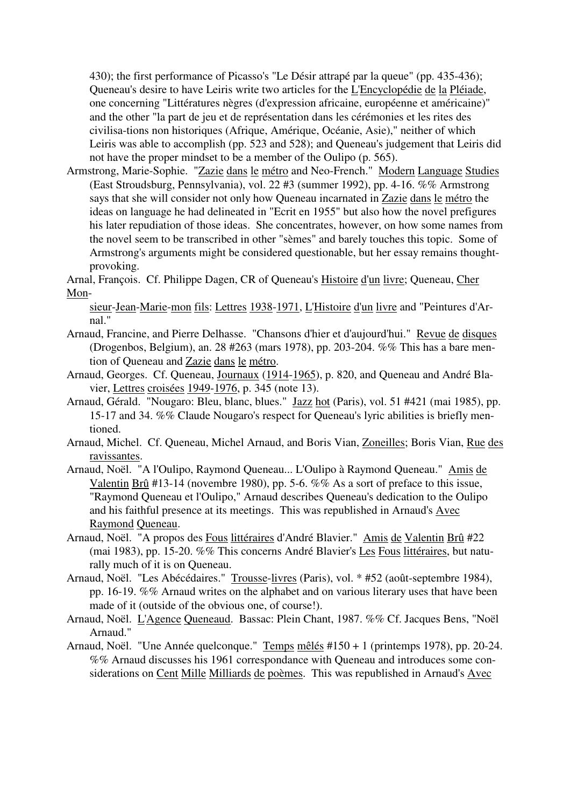430); the first performance of Picasso's "Le Désir attrapé par la queue" (pp. 435-436); Queneau's desire to have Leiris write two articles for the L'Encyclopédie de la Pléiade, one concerning "Littératures nègres (d'expression africaine, européenne et américaine)" and the other "la part de jeu et de représentation dans les cérémonies et les rites des civilisa-tions non historiques (Afrique, Amérique, Océanie, Asie)," neither of which Leiris was able to accomplish (pp. 523 and 528); and Queneau's judgement that Leiris did not have the proper mindset to be a member of the Oulipo (p. 565).

Armstrong, Marie-Sophie. "Zazie dans le métro and Neo-French." Modern Language Studies (East Stroudsburg, Pennsylvania), vol. 22 #3 (summer 1992), pp. 4-16. %% Armstrong says that she will consider not only how Queneau incarnated in Zazie dans le métro the ideas on language he had delineated in "Ecrit en 1955" but also how the novel prefigures his later repudiation of those ideas. She concentrates, however, on how some names from the novel seem to be transcribed in other "sèmes" and barely touches this topic. Some of Armstrong's arguments might be considered questionable, but her essay remains thoughtprovoking.

Arnal, François. Cf. Philippe Dagen, CR of Queneau's Histoire d'un livre; Queneau, Cher Mon-

sieur-Jean-Marie-mon fils: Lettres 1938-1971, L'Histoire d'un livre and "Peintures d'Arnal."

- Arnaud, Francine, and Pierre Delhasse. "Chansons d'hier et d'aujourd'hui." Revue de disques (Drogenbos, Belgium), an. 28 #263 (mars 1978), pp. 203-204. %% This has a bare mention of Queneau and Zazie dans le métro.
- Arnaud, Georges. Cf. Queneau, Journaux (1914-1965), p. 820, and Queneau and André Blavier, Lettres croisées 1949-1976, p. 345 (note 13).
- Arnaud, Gérald. "Nougaro: Bleu, blanc, blues." Jazz hot (Paris), vol. 51 #421 (mai 1985), pp. 15-17 and 34. %% Claude Nougaro's respect for Queneau's lyric abilities is briefly mentioned.
- Arnaud, Michel. Cf. Queneau, Michel Arnaud, and Boris Vian, Zoneilles; Boris Vian, Rue des ravissantes.
- Arnaud, Noël. "A l'Oulipo, Raymond Queneau... L'Oulipo à Raymond Queneau." Amis de Valentin Brû #13-14 (novembre 1980), pp. 5-6. %% As a sort of preface to this issue, "Raymond Queneau et l'Oulipo," Arnaud describes Queneau's dedication to the Oulipo and his faithful presence at its meetings. This was republished in Arnaud's Avec Raymond Queneau.
- Arnaud, Noël. "A propos des Fous littéraires d'André Blavier." Amis de Valentin Brû #22 (mai 1983), pp. 15-20. %% This concerns André Blavier's Les Fous littéraires, but naturally much of it is on Queneau.
- Arnaud, Noël. "Les Abécédaires." Trousse-livres (Paris), vol. \* #52 (août-septembre 1984), pp. 16-19. %% Arnaud writes on the alphabet and on various literary uses that have been made of it (outside of the obvious one, of course!).
- Arnaud, Noël. L'Agence Queneaud. Bassac: Plein Chant, 1987. %% Cf. Jacques Bens, "Noël Arnaud."
- Arnaud, Noël. "Une Année quelconque." Temps mêlés #150 + 1 (printemps 1978), pp. 20-24. %% Arnaud discusses his 1961 correspondance with Queneau and introduces some considerations on Cent Mille Milliards de poèmes. This was republished in Arnaud's Avec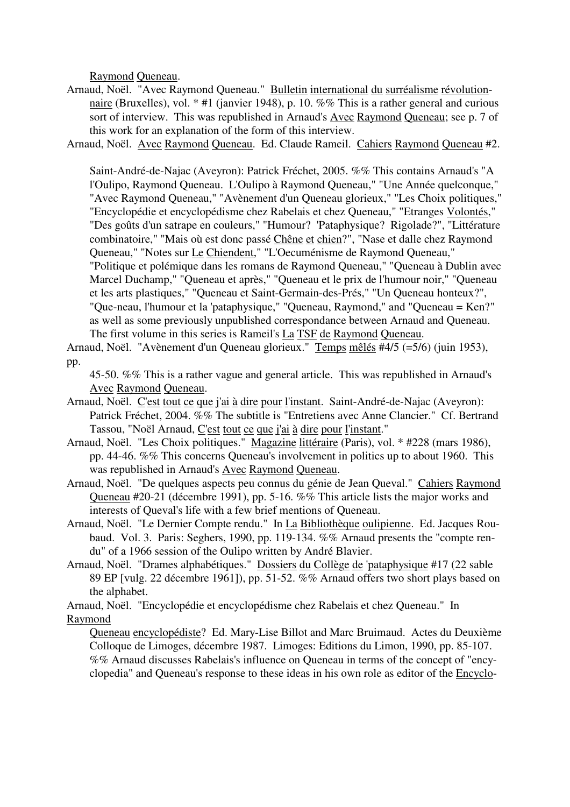Raymond Queneau.

- Arnaud, Noël. "Avec Raymond Queneau." Bulletin international du surréalisme révolutionnaire (Bruxelles), vol. \* #1 (janvier 1948), p. 10. %% This is a rather general and curious sort of interview. This was republished in Arnaud's Avec Raymond Queneau; see p. 7 of this work for an explanation of the form of this interview.
- Arnaud, Noël. Avec Raymond Queneau. Ed. Claude Rameil. Cahiers Raymond Queneau #2.

Saint-André-de-Najac (Aveyron): Patrick Fréchet, 2005. %% This contains Arnaud's "A l'Oulipo, Raymond Queneau. L'Oulipo à Raymond Queneau," "Une Année quelconque," "Avec Raymond Queneau," "Avènement d'un Queneau glorieux," "Les Choix politiques," "Encyclopédie et encyclopédisme chez Rabelais et chez Queneau," "Etranges Volontés," "Des goûts d'un satrape en couleurs," "Humour? 'Pataphysique? Rigolade?", "Littérature combinatoire," "Mais où est donc passé Chêne et chien?", "Nase et dalle chez Raymond Queneau," "Notes sur Le Chiendent," "L'Oecuménisme de Raymond Queneau," "Politique et polémique dans les romans de Raymond Queneau," "Queneau à Dublin avec Marcel Duchamp," "Queneau et après," "Queneau et le prix de l'humour noir," "Queneau et les arts plastiques," "Queneau et Saint-Germain-des-Prés," "Un Queneau honteux?", "Que-neau, l'humour et la 'pataphysique," "Queneau, Raymond," and "Queneau = Ken?" as well as some previously unpublished correspondance between Arnaud and Queneau. The first volume in this series is Rameil's La TSF de Raymond Queneau.

Arnaud, Noël. "Avènement d'un Queneau glorieux." Temps mêlés #4/5 (=5/6) (juin 1953), pp.

45-50. %% This is a rather vague and general article. This was republished in Arnaud's Avec Raymond Queneau.

- Arnaud, Noël. C'est tout ce que j'ai à dire pour l'instant. Saint-André-de-Najac (Aveyron): Patrick Fréchet, 2004. %% The subtitle is "Entretiens avec Anne Clancier." Cf. Bertrand Tassou, "Noël Arnaud, C'est tout ce que j'ai à dire pour l'instant."
- Arnaud, Noël. "Les Choix politiques." Magazine littéraire (Paris), vol. \* #228 (mars 1986), pp. 44-46. %% This concerns Queneau's involvement in politics up to about 1960. This was republished in Arnaud's Avec Raymond Queneau.
- Arnaud, Noël. "De quelques aspects peu connus du génie de Jean Queval." Cahiers Raymond Queneau #20-21 (décembre 1991), pp. 5-16. %% This article lists the major works and interests of Queval's life with a few brief mentions of Queneau.
- Arnaud, Noël. "Le Dernier Compte rendu." In La Bibliothèque oulipienne. Ed. Jacques Roubaud. Vol. 3. Paris: Seghers, 1990, pp. 119-134. %% Arnaud presents the "compte rendu" of a 1966 session of the Oulipo written by André Blavier.
- Arnaud, Noël. "Drames alphabétiques." Dossiers du Collège de 'pataphysique #17 (22 sable 89 EP [vulg. 22 décembre 1961]), pp. 51-52. %% Arnaud offers two short plays based on the alphabet.

Arnaud, Noël. "Encyclopédie et encyclopédisme chez Rabelais et chez Queneau." In Raymond

Queneau encyclopédiste? Ed. Mary-Lise Billot and Marc Bruimaud. Actes du Deuxième Colloque de Limoges, décembre 1987. Limoges: Editions du Limon, 1990, pp. 85-107. %% Arnaud discusses Rabelais's influence on Queneau in terms of the concept of "encyclopedia" and Queneau's response to these ideas in his own role as editor of the Encyclo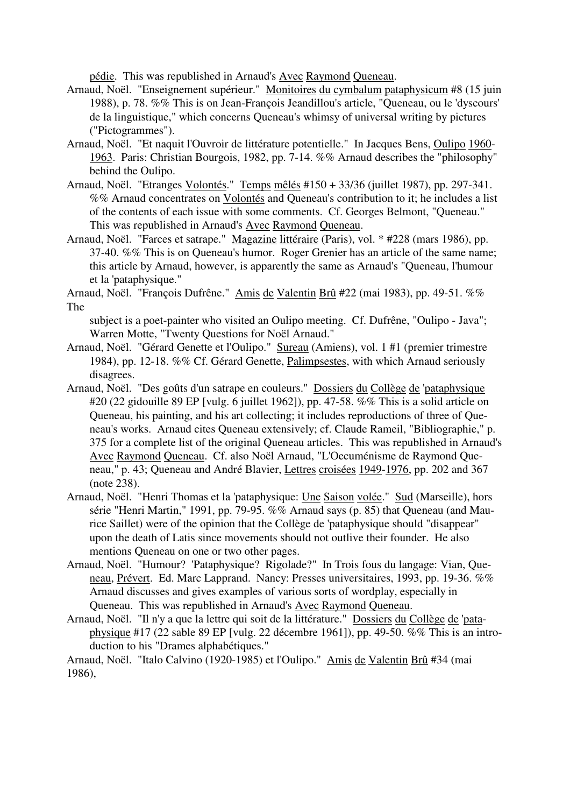pédie. This was republished in Arnaud's Avec Raymond Queneau.

- Arnaud, Noël. "Enseignement supérieur." Monitoires du cymbalum pataphysicum #8 (15 juin 1988), p. 78. %% This is on Jean-François Jeandillou's article, "Queneau, ou le 'dyscours' de la linguistique," which concerns Queneau's whimsy of universal writing by pictures ("Pictogrammes").
- Arnaud, Noël. "Et naquit l'Ouvroir de littérature potentielle." In Jacques Bens, Oulipo 1960- 1963. Paris: Christian Bourgois, 1982, pp. 7-14. %% Arnaud describes the "philosophy" behind the Oulipo.
- Arnaud, Noël. "Etranges Volontés." Temps mêlés #150 + 33/36 (juillet 1987), pp. 297-341. %% Arnaud concentrates on Volontés and Queneau's contribution to it; he includes a list of the contents of each issue with some comments. Cf. Georges Belmont, "Queneau." This was republished in Arnaud's Avec Raymond Queneau.
- Arnaud, Noël. "Farces et satrape." Magazine littéraire (Paris), vol. \* #228 (mars 1986), pp. 37-40. %% This is on Queneau's humor. Roger Grenier has an article of the same name; this article by Arnaud, however, is apparently the same as Arnaud's "Queneau, l'humour et la 'pataphysique."

Arnaud, Noël. "François Dufrêne." Amis de Valentin Brû #22 (mai 1983), pp. 49-51. %% The

subject is a poet-painter who visited an Oulipo meeting. Cf. Dufrêne, "Oulipo - Java"; Warren Motte, "Twenty Questions for Noël Arnaud."

- Arnaud, Noël. "Gérard Genette et l'Oulipo." Sureau (Amiens), vol. 1 #1 (premier trimestre 1984), pp. 12-18. %% Cf. Gérard Genette, Palimpsestes, with which Arnaud seriously disagrees.
- Arnaud, Noël. "Des goûts d'un satrape en couleurs." Dossiers du Collège de 'pataphysique #20 (22 gidouille 89 EP [vulg. 6 juillet 1962]), pp. 47-58. %% This is a solid article on Queneau, his painting, and his art collecting; it includes reproductions of three of Queneau's works. Arnaud cites Queneau extensively; cf. Claude Rameil, "Bibliographie," p. 375 for a complete list of the original Queneau articles. This was republished in Arnaud's Avec Raymond Queneau. Cf. also Noël Arnaud, "L'Oecuménisme de Raymond Queneau," p. 43; Queneau and André Blavier, Lettres croisées 1949-1976, pp. 202 and 367 (note 238).
- Arnaud, Noël. "Henri Thomas et la 'pataphysique: Une Saison volée." Sud (Marseille), hors série "Henri Martin," 1991, pp. 79-95.  $\%$ % Arnaud says (p. 85) that Queneau (and Maurice Saillet) were of the opinion that the Collège de 'pataphysique should "disappear" upon the death of Latis since movements should not outlive their founder. He also mentions Queneau on one or two other pages.
- Arnaud, Noël. "Humour? 'Pataphysique? Rigolade?" In Trois fous du langage: Vian, Queneau, Prévert. Ed. Marc Lapprand. Nancy: Presses universitaires, 1993, pp. 19-36. %% Arnaud discusses and gives examples of various sorts of wordplay, especially in Queneau. This was republished in Arnaud's Avec Raymond Queneau.
- Arnaud, Noël. "Il n'y a que la lettre qui soit de la littérature." Dossiers du Collège de 'pataphysique #17 (22 sable 89 EP [vulg. 22 décembre 1961]), pp. 49-50. %% This is an introduction to his "Drames alphabétiques."

Arnaud, Noël. "Italo Calvino (1920-1985) et l'Oulipo." Amis de Valentin Brû #34 (mai 1986),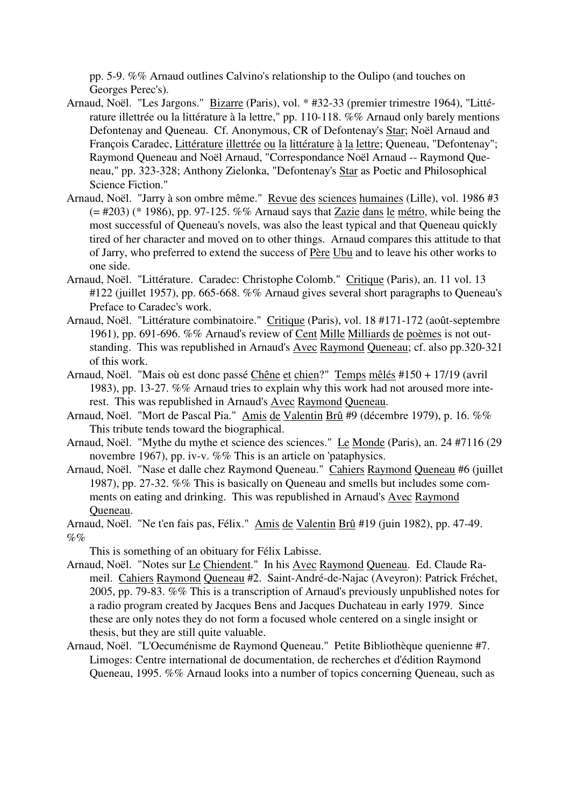pp. 5-9. %% Arnaud outlines Calvino's relationship to the Oulipo (and touches on Georges Perec's).

- Arnaud, Noël. "Les Jargons." Bizarre (Paris), vol. \* #32-33 (premier trimestre 1964), "Littérature illettrée ou la littérature à la lettre," pp. 110-118. %% Arnaud only barely mentions Defontenay and Queneau. Cf. Anonymous, CR of Defontenay's Star; Noël Arnaud and François Caradec, Littérature illettrée ou la littérature à la lettre; Queneau, "Defontenay"; Raymond Queneau and Noël Arnaud, "Correspondance Noël Arnaud -- Raymond Queneau," pp. 323-328; Anthony Zielonka, "Defontenay's Star as Poetic and Philosophical Science Fiction."
- Arnaud, Noël. "Jarry à son ombre même." Revue des sciences humaines (Lille), vol. 1986 #3  $(= 4203)$  (\* 1986), pp. 97-125. %% Arnaud says that Zazie dans le métro, while being the most successful of Queneau's novels, was also the least typical and that Queneau quickly tired of her character and moved on to other things. Arnaud compares this attitude to that of Jarry, who preferred to extend the success of Père Ubu and to leave his other works to one side.
- Arnaud, Noël. "Littérature. Caradec: Christophe Colomb." Critique (Paris), an. 11 vol. 13 #122 (juillet 1957), pp. 665-668. %% Arnaud gives several short paragraphs to Queneau's Preface to Caradec's work.
- Arnaud, Noël. "Littérature combinatoire." Critique (Paris), vol. 18 #171-172 (août-septembre 1961), pp. 691-696. %% Arnaud's review of Cent Mille Milliards de poèmes is not outstanding. This was republished in Arnaud's Avec Raymond Queneau; cf. also pp.320-321 of this work.
- Arnaud, Noël. "Mais où est donc passé Chêne et chien?" Temps mêlés #150 + 17/19 (avril 1983), pp. 13-27. %% Arnaud tries to explain why this work had not aroused more interest. This was republished in Arnaud's Avec Raymond Queneau.
- Arnaud, Noël. "Mort de Pascal Pia." Amis de Valentin Brû #9 (décembre 1979), p. 16. %% This tribute tends toward the biographical.
- Arnaud, Noël. "Mythe du mythe et science des sciences." Le Monde (Paris), an. 24 #7116 (29 novembre 1967), pp. iv-v. %% This is an article on 'pataphysics.
- Arnaud, Noël. "Nase et dalle chez Raymond Queneau." Cahiers Raymond Queneau #6 (juillet 1987), pp. 27-32. %% This is basically on Queneau and smells but includes some comments on eating and drinking. This was republished in Arnaud's Avec Raymond Queneau.
- Arnaud, Noël. "Ne t'en fais pas, Félix." Amis de Valentin Brû #19 (juin 1982), pp. 47-49.  $\%$ %
	- This is something of an obituary for Félix Labisse.
- Arnaud, Noël. "Notes sur Le Chiendent." In his Avec Raymond Queneau. Ed. Claude Rameil. Cahiers Raymond Queneau #2. Saint-André-de-Najac (Aveyron): Patrick Fréchet, 2005, pp. 79-83. %% This is a transcription of Arnaud's previously unpublished notes for a radio program created by Jacques Bens and Jacques Duchateau in early 1979. Since these are only notes they do not form a focused whole centered on a single insight or thesis, but they are still quite valuable.
- Arnaud, Noël. "L'Oecuménisme de Raymond Queneau." Petite Bibliothèque quenienne #7. Limoges: Centre international de documentation, de recherches et d'édition Raymond Queneau, 1995. %% Arnaud looks into a number of topics concerning Queneau, such as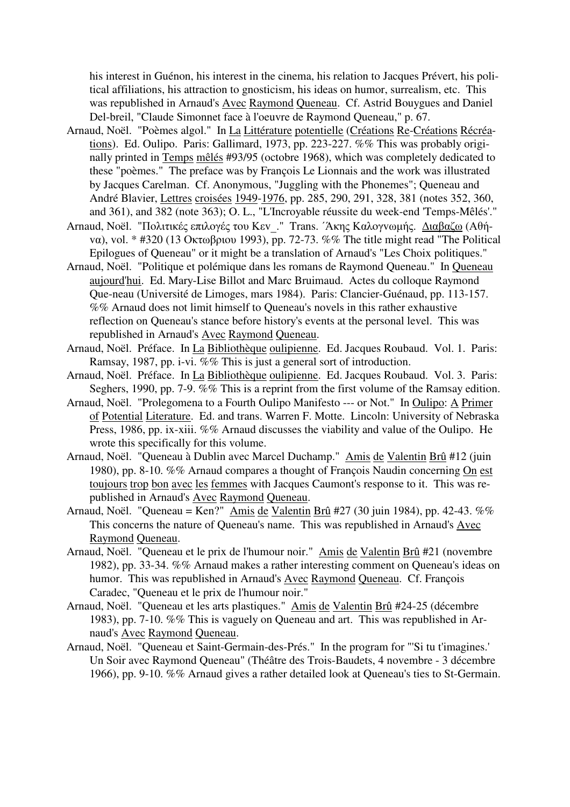his interest in Guénon, his interest in the cinema, his relation to Jacques Prévert, his political affiliations, his attraction to gnosticism, his ideas on humor, surrealism, etc. This was republished in Arnaud's Avec Raymond Queneau. Cf. Astrid Bouygues and Daniel Del-breil, "Claude Simonnet face à l'oeuvre de Raymond Queneau," p. 67.

- Arnaud, Noël. "Poèmes algol." In La Littérature potentielle (Créations Re-Créations Récréations). Ed. Oulipo. Paris: Gallimard, 1973, pp. 223-227. %% This was probably originally printed in Temps mêlés #93/95 (octobre 1968), which was completely dedicated to these "poèmes." The preface was by François Le Lionnais and the work was illustrated by Jacques Carelman. Cf. Anonymous, "Juggling with the Phonemes"; Queneau and André Blavier, Lettres croisées 1949-1976, pp. 285, 290, 291, 328, 381 (notes 352, 360, and 361), and 382 (note 363); O. L., "L'Incroyable réussite du week-end 'Temps-Mêlés'."
- Arnaud, Noël. "Πoλιτικές επιλoγές <sup>τ</sup>o<sup>υ</sup> Κεv\_." Trans. ΄Άκης Καλoγvωµής. ∆ιαβαζω (Αθήvα), vol. \* #320 (13 Οκτωβριoυ 1993), pp. 72-73. %% The title might read "The Political Epilogues of Queneau" or it might be a translation of Arnaud's "Les Choix politiques."
- Arnaud, Noël. "Politique et polémique dans les romans de Raymond Queneau." In Queneau aujourd'hui. Ed. Mary-Lise Billot and Marc Bruimaud. Actes du colloque Raymond Que-neau (Université de Limoges, mars 1984). Paris: Clancier-Guénaud, pp. 113-157. %% Arnaud does not limit himself to Queneau's novels in this rather exhaustive reflection on Queneau's stance before history's events at the personal level. This was republished in Arnaud's Avec Raymond Queneau.
- Arnaud, Noël. Préface. In La Bibliothèque oulipienne. Ed. Jacques Roubaud. Vol. 1. Paris: Ramsay, 1987, pp. i-vi. %% This is just a general sort of introduction.
- Arnaud, Noël. Préface. In La Bibliothèque oulipienne. Ed. Jacques Roubaud. Vol. 3. Paris: Seghers, 1990, pp. 7-9. %% This is a reprint from the first volume of the Ramsay edition.
- Arnaud, Noël. "Prolegomena to a Fourth Oulipo Manifesto --- or Not." In Oulipo: A Primer of Potential Literature. Ed. and trans. Warren F. Motte. Lincoln: University of Nebraska Press, 1986, pp. ix-xiii. %% Arnaud discusses the viability and value of the Oulipo. He wrote this specifically for this volume.
- Arnaud, Noël. "Queneau à Dublin avec Marcel Duchamp." Amis de Valentin Brû #12 (juin 1980), pp. 8-10. %% Arnaud compares a thought of François Naudin concerning On est toujours trop bon avec les femmes with Jacques Caumont's response to it. This was republished in Arnaud's Avec Raymond Queneau.
- Arnaud, Noël. "Queneau = Ken?" Amis de Valentin Brû #27 (30 juin 1984), pp. 42-43. %% This concerns the nature of Queneau's name. This was republished in Arnaud's Avec Raymond Queneau.
- Arnaud, Noël. "Queneau et le prix de l'humour noir." Amis de Valentin Brû #21 (novembre 1982), pp. 33-34. %% Arnaud makes a rather interesting comment on Queneau's ideas on humor. This was republished in Arnaud's Avec Raymond Queneau. Cf. François Caradec, "Queneau et le prix de l'humour noir."
- Arnaud, Noël. "Queneau et les arts plastiques." Amis de Valentin Brû #24-25 (décembre 1983), pp. 7-10. %% This is vaguely on Queneau and art. This was republished in Arnaud's Avec Raymond Queneau.
- Arnaud, Noël. "Queneau et Saint-Germain-des-Prés." In the program for "'Si tu t'imagines.' Un Soir avec Raymond Queneau" (Théâtre des Trois-Baudets, 4 novembre - 3 décembre 1966), pp. 9-10. %% Arnaud gives a rather detailed look at Queneau's ties to St-Germain.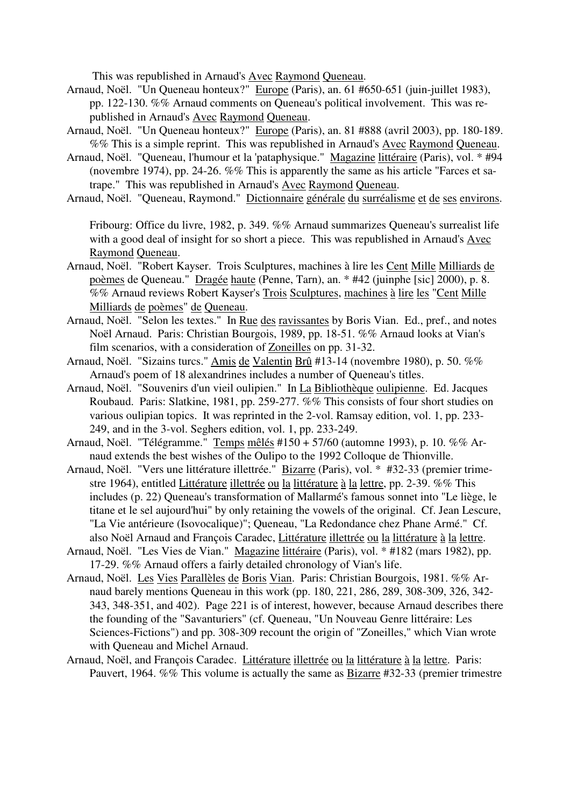This was republished in Arnaud's Avec Raymond Queneau.

- Arnaud, Noël. "Un Queneau honteux?" Europe (Paris), an. 61 #650-651 (juin-juillet 1983), pp. 122-130. %% Arnaud comments on Queneau's political involvement. This was republished in Arnaud's Avec Raymond Queneau.
- Arnaud, Noël. "Un Queneau honteux?" Europe (Paris), an. 81 #888 (avril 2003), pp. 180-189. %% This is a simple reprint. This was republished in Arnaud's Avec Raymond Queneau.
- Arnaud, Noël. "Queneau, l'humour et la 'pataphysique." Magazine littéraire (Paris), vol. \* #94 (novembre 1974), pp. 24-26. %% This is apparently the same as his article "Farces et satrape." This was republished in Arnaud's Avec Raymond Queneau.
- Arnaud, Noël. "Queneau, Raymond." Dictionnaire générale du surréalisme et de ses environs.

Fribourg: Office du livre, 1982, p. 349. %% Arnaud summarizes Queneau's surrealist life with a good deal of insight for so short a piece. This was republished in Arnaud's Avec Raymond Queneau.

- Arnaud, Noël. "Robert Kayser. Trois Sculptures, machines à lire les Cent Mille Milliards de poèmes de Queneau." Dragée haute (Penne, Tarn), an. \* #42 (juinphe [sic] 2000), p. 8. %% Arnaud reviews Robert Kayser's Trois Sculptures, machines à lire les "Cent Mille Milliards de poèmes" de Queneau.
- Arnaud, Noël. "Selon les textes." In Rue des ravissantes by Boris Vian. Ed., pref., and notes Noël Arnaud. Paris: Christian Bourgois, 1989, pp. 18-51. %% Arnaud looks at Vian's film scenarios, with a consideration of Zoneilles on pp. 31-32.
- Arnaud, Noël. "Sizains turcs." Amis de Valentin Brû #13-14 (novembre 1980), p. 50. %% Arnaud's poem of 18 alexandrines includes a number of Queneau's titles.
- Arnaud, Noël. "Souvenirs d'un vieil oulipien." In La Bibliothèque oulipienne. Ed. Jacques Roubaud. Paris: Slatkine, 1981, pp. 259-277. %% This consists of four short studies on various oulipian topics. It was reprinted in the 2-vol. Ramsay edition, vol. 1, pp. 233- 249, and in the 3-vol. Seghers edition, vol. 1, pp. 233-249.
- Arnaud, Noël. "Télégramme." Temps mêlés #150 + 57/60 (automne 1993), p. 10. %% Arnaud extends the best wishes of the Oulipo to the 1992 Colloque de Thionville.
- Arnaud, Noël. "Vers une littérature illettrée." Bizarre (Paris), vol. \* #32-33 (premier trimestre 1964), entitled Littérature illettrée ou la littérature à la lettre, pp. 2-39. %% This includes (p. 22) Queneau's transformation of Mallarmé's famous sonnet into "Le liège, le titane et le sel aujourd'hui" by only retaining the vowels of the original. Cf. Jean Lescure, "La Vie antérieure (Isovocalique)"; Queneau, "La Redondance chez Phane Armé." Cf. also Noël Arnaud and François Caradec, Littérature illettrée ou la littérature à la lettre.
- Arnaud, Noël. "Les Vies de Vian." Magazine littéraire (Paris), vol. \* #182 (mars 1982), pp. 17-29. %% Arnaud offers a fairly detailed chronology of Vian's life.
- Arnaud, Noël. Les Vies Parallèles de Boris Vian. Paris: Christian Bourgois, 1981. %% Arnaud barely mentions Queneau in this work (pp. 180, 221, 286, 289, 308-309, 326, 342- 343, 348-351, and 402). Page 221 is of interest, however, because Arnaud describes there the founding of the "Savanturiers" (cf. Queneau, "Un Nouveau Genre littéraire: Les Sciences-Fictions") and pp. 308-309 recount the origin of "Zoneilles," which Vian wrote with Queneau and Michel Arnaud.
- Arnaud, Noël, and François Caradec. Littérature illettrée ou la littérature à la lettre. Paris: Pauvert, 1964. %% This volume is actually the same as Bizarre #32-33 (premier trimestre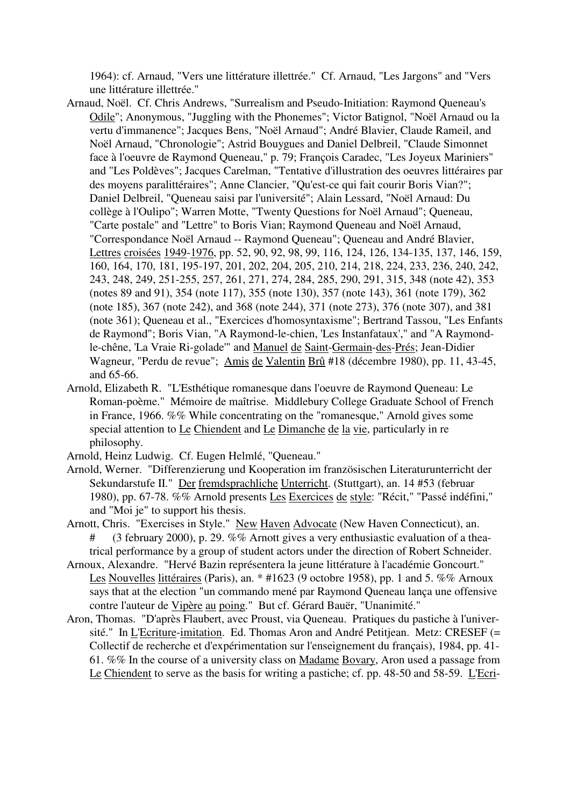1964): cf. Arnaud, "Vers une littérature illettrée." Cf. Arnaud, "Les Jargons" and "Vers une littérature illettrée."

- Arnaud, Noël. Cf. Chris Andrews, "Surrealism and Pseudo-Initiation: Raymond Queneau's Odile"; Anonymous, "Juggling with the Phonemes"; Victor Batignol, "Noël Arnaud ou la vertu d'immanence"; Jacques Bens, "Noël Arnaud"; André Blavier, Claude Rameil, and Noël Arnaud, "Chronologie"; Astrid Bouygues and Daniel Delbreil, "Claude Simonnet face à l'oeuvre de Raymond Queneau," p. 79; François Caradec, "Les Joyeux Mariniers" and "Les Poldèves"; Jacques Carelman, "Tentative d'illustration des oeuvres littéraires par des moyens paralittéraires"; Anne Clancier, "Qu'est-ce qui fait courir Boris Vian?"; Daniel Delbreil, "Queneau saisi par l'université"; Alain Lessard, "Noël Arnaud: Du collège à l'Oulipo"; Warren Motte, "Twenty Questions for Noël Arnaud"; Queneau, "Carte postale" and "Lettre" to Boris Vian; Raymond Queneau and Noël Arnaud, "Correspondance Noël Arnaud -- Raymond Queneau"; Queneau and André Blavier, Lettres croisées 1949-1976, pp. 52, 90, 92, 98, 99, 116, 124, 126, 134-135, 137, 146, 159, 160, 164, 170, 181, 195-197, 201, 202, 204, 205, 210, 214, 218, 224, 233, 236, 240, 242, 243, 248, 249, 251-255, 257, 261, 271, 274, 284, 285, 290, 291, 315, 348 (note 42), 353 (notes 89 and 91), 354 (note 117), 355 (note 130), 357 (note 143), 361 (note 179), 362 (note 185), 367 (note 242), and 368 (note 244), 371 (note 273), 376 (note 307), and 381 (note 361); Queneau et al., "Exercices d'homosyntaxisme"; Bertrand Tassou, "Les Enfants de Raymond"; Boris Vian, "A Raymond-le-chien, 'Les Instanfataux'," and "A Raymondle-chêne, 'La Vraie Ri-golade'" and Manuel de Saint-Germain-des-Prés; Jean-Didier Wagneur, "Perdu de revue"; Amis de Valentin Brû #18 (décembre 1980), pp. 11, 43-45, and 65-66.
- Arnold, Elizabeth R. "L'Esthétique romanesque dans l'oeuvre de Raymond Queneau: Le Roman-poème." Mémoire de maîtrise. Middlebury College Graduate School of French in France, 1966. %% While concentrating on the "romanesque," Arnold gives some special attention to Le Chiendent and Le Dimanche de la vie, particularly in re philosophy.
- Arnold, Heinz Ludwig. Cf. Eugen Helmlé, "Queneau."
- Arnold, Werner. "Differenzierung und Kooperation im französischen Literaturunterricht der Sekundarstufe II." Der fremdsprachliche Unterricht. (Stuttgart), an. 14 #53 (februar 1980), pp. 67-78. %% Arnold presents Les Exercices de style: "Récit," "Passé indéfini," and "Moi je" to support his thesis.
- Arnott, Chris. "Exercises in Style." New Haven Advocate (New Haven Connecticut), an. # (3 february 2000), p. 29. %% Arnott gives a very enthusiastic evaluation of a theatrical performance by a group of student actors under the direction of Robert Schneider.
- Arnoux, Alexandre. "Hervé Bazin représentera la jeune littérature à l'académie Goncourt." Les Nouvelles littéraires (Paris), an. \* #1623 (9 octobre 1958), pp. 1 and 5. %% Arnoux says that at the election "un commando mené par Raymond Queneau lança une offensive contre l'auteur de Vipère au poing." But cf. Gérard Bauër, "Unanimité."
- Aron, Thomas. "D'après Flaubert, avec Proust, via Queneau. Pratiques du pastiche à l'université." In L'Ecriture-imitation. Ed. Thomas Aron and André Petitjean. Metz: CRESEF (= Collectif de recherche et d'expérimentation sur l'enseignement du français), 1984, pp. 41- 61. %% In the course of a university class on Madame Bovary, Aron used a passage from Le Chiendent to serve as the basis for writing a pastiche; cf. pp. 48-50 and 58-59. L'Ecri-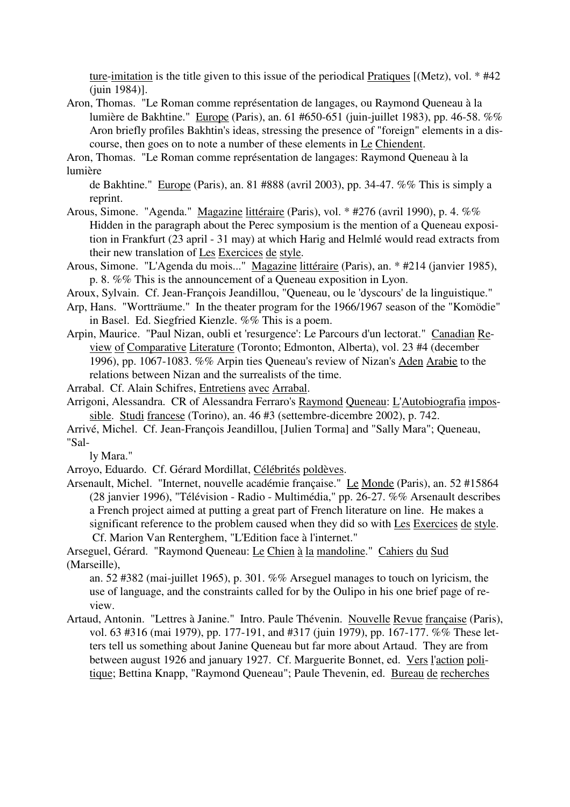ture-imitation is the title given to this issue of the periodical Pratiques [(Metz), vol. \* #42 (juin 1984)].

Aron, Thomas. "Le Roman comme représentation de langages, ou Raymond Queneau à la lumière de Bakhtine." Europe (Paris), an. 61 #650-651 (juin-juillet 1983), pp. 46-58. %% Aron briefly profiles Bakhtin's ideas, stressing the presence of "foreign" elements in a discourse, then goes on to note a number of these elements in Le Chiendent.

Aron, Thomas. "Le Roman comme représentation de langages: Raymond Queneau à la lumière

de Bakhtine." Europe (Paris), an. 81 #888 (avril 2003), pp. 34-47. %% This is simply a reprint.

- Arous, Simone. "Agenda." Magazine littéraire (Paris), vol. \* #276 (avril 1990), p. 4. %% Hidden in the paragraph about the Perec symposium is the mention of a Queneau exposition in Frankfurt (23 april - 31 may) at which Harig and Helmlé would read extracts from their new translation of Les Exercices de style.
- Arous, Simone. "L'Agenda du mois..." Magazine littéraire (Paris), an. \* #214 (janvier 1985), p. 8. %% This is the announcement of a Queneau exposition in Lyon.
- Aroux, Sylvain. Cf. Jean-François Jeandillou, "Queneau, ou le 'dyscours' de la linguistique."
- Arp, Hans. "Wortträume." In the theater program for the 1966/1967 season of the "Komödie" in Basel. Ed. Siegfried Kienzle. %% This is a poem.
- Arpin, Maurice. "Paul Nizan, oubli et 'resurgence': Le Parcours d'un lectorat." Canadian Review of Comparative Literature (Toronto; Edmonton, Alberta), vol. 23 #4 (december 1996), pp. 1067-1083. %% Arpin ties Queneau's review of Nizan's Aden Arabie to the relations between Nizan and the surrealists of the time.

Arrabal. Cf. Alain Schifres, Entretiens avec Arrabal.

- Arrigoni, Alessandra. CR of Alessandra Ferraro's Raymond Queneau: L'Autobiografia impossible. Studi francese (Torino), an. 46 #3 (settembre-dicembre 2002), p. 742.
- Arrivé, Michel. Cf. Jean-François Jeandillou, [Julien Torma] and "Sally Mara"; Queneau, "Sal-

ly Mara."

Arroyo, Eduardo. Cf. Gérard Mordillat, Célébrités poldèves.

Arsenault, Michel. "Internet, nouvelle académie française." Le Monde (Paris), an. 52 #15864 (28 janvier 1996), "Télévision - Radio - Multimédia," pp. 26-27. %% Arsenault describes a French project aimed at putting a great part of French literature on line. He makes a significant reference to the problem caused when they did so with Les Exercices de style. Cf. Marion Van Renterghem, "L'Edition face à l'internet."

Arseguel, Gérard. "Raymond Queneau: Le Chien à la mandoline." Cahiers du Sud (Marseille),

an. 52 #382 (mai-juillet 1965), p. 301. %% Arseguel manages to touch on lyricism, the use of language, and the constraints called for by the Oulipo in his one brief page of review.

Artaud, Antonin. "Lettres à Janine." Intro. Paule Thévenin. Nouvelle Revue française (Paris), vol. 63 #316 (mai 1979), pp. 177-191, and #317 (juin 1979), pp. 167-177. %% These letters tell us something about Janine Queneau but far more about Artaud. They are from between august 1926 and january 1927. Cf. Marguerite Bonnet, ed. Vers l'action politique; Bettina Knapp, "Raymond Queneau"; Paule Thevenin, ed. Bureau de recherches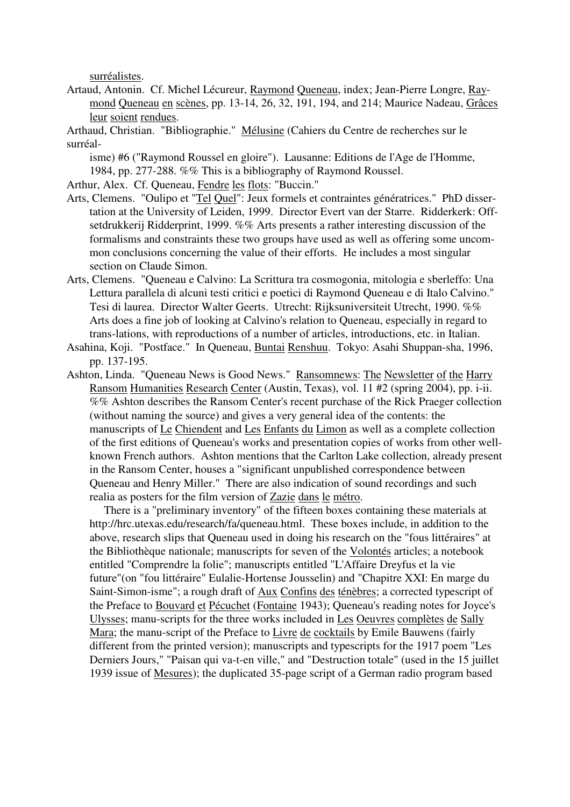surréalistes.

- Artaud, Antonin. Cf. Michel Lécureur, Raymond Queneau, index; Jean-Pierre Longre, Raymond Queneau en scènes, pp. 13-14, 26, 32, 191, 194, and 214; Maurice Nadeau, Grâces leur soient rendues.
- Arthaud, Christian. "Bibliographie." Mélusine (Cahiers du Centre de recherches sur le surréal-

isme) #6 ("Raymond Roussel en gloire"). Lausanne: Editions de l'Age de l'Homme, 1984, pp. 277-288. %% This is a bibliography of Raymond Roussel.

Arthur, Alex. Cf. Queneau, Fendre les flots: "Buccin."

- Arts, Clemens. "Oulipo et "Tel Quel": Jeux formels et contraintes génératrices." PhD dissertation at the University of Leiden, 1999. Director Evert van der Starre. Ridderkerk: Offsetdrukkerij Ridderprint, 1999. %% Arts presents a rather interesting discussion of the formalisms and constraints these two groups have used as well as offering some uncommon conclusions concerning the value of their efforts. He includes a most singular section on Claude Simon.
- Arts, Clemens. "Queneau e Calvino: La Scrittura tra cosmogonia, mitologia e sberleffo: Una Lettura parallela di alcuni testi critici e poetici di Raymond Queneau e di Italo Calvino." Tesi di laurea. Director Walter Geerts. Utrecht: Rijksuniversiteit Utrecht, 1990. %% Arts does a fine job of looking at Calvino's relation to Queneau, especially in regard to trans-lations, with reproductions of a number of articles, introductions, etc. in Italian.
- Asahina, Koji. "Postface." In Queneau, Buntai Renshuu. Tokyo: Asahi Shuppan-sha, 1996, pp. 137-195.
- Ashton, Linda. "Queneau News is Good News." Ransomnews: The Newsletter of the Harry Ransom Humanities Research Center (Austin, Texas), vol. 11 #2 (spring 2004), pp. i-ii. %% Ashton describes the Ransom Center's recent purchase of the Rick Praeger collection (without naming the source) and gives a very general idea of the contents: the manuscripts of Le Chiendent and Les Enfants du Limon as well as a complete collection of the first editions of Queneau's works and presentation copies of works from other wellknown French authors. Ashton mentions that the Carlton Lake collection, already present in the Ransom Center, houses a "significant unpublished correspondence between Queneau and Henry Miller." There are also indication of sound recordings and such realia as posters for the film version of Zazie dans le métro.

 There is a "preliminary inventory" of the fifteen boxes containing these materials at http://hrc.utexas.edu/research/fa/queneau.html. These boxes include, in addition to the above, research slips that Queneau used in doing his research on the "fous littéraires" at the Bibliothèque nationale; manuscripts for seven of the Volontés articles; a notebook entitled "Comprendre la folie"; manuscripts entitled "L'Affaire Dreyfus et la vie future"(on "fou littéraire" Eulalie-Hortense Jousselin) and "Chapitre XXI: En marge du Saint-Simon-isme"; a rough draft of Aux Confins des ténèbres; a corrected typescript of the Preface to Bouvard et Pécuchet (Fontaine 1943); Queneau's reading notes for Joyce's Ulysses; manu-scripts for the three works included in Les Oeuvres complètes de Sally Mara; the manu-script of the Preface to Livre de cocktails by Emile Bauwens (fairly different from the printed version); manuscripts and typescripts for the 1917 poem "Les Derniers Jours," "Paisan qui va-t-en ville," and "Destruction totale" (used in the 15 juillet 1939 issue of Mesures); the duplicated 35-page script of a German radio program based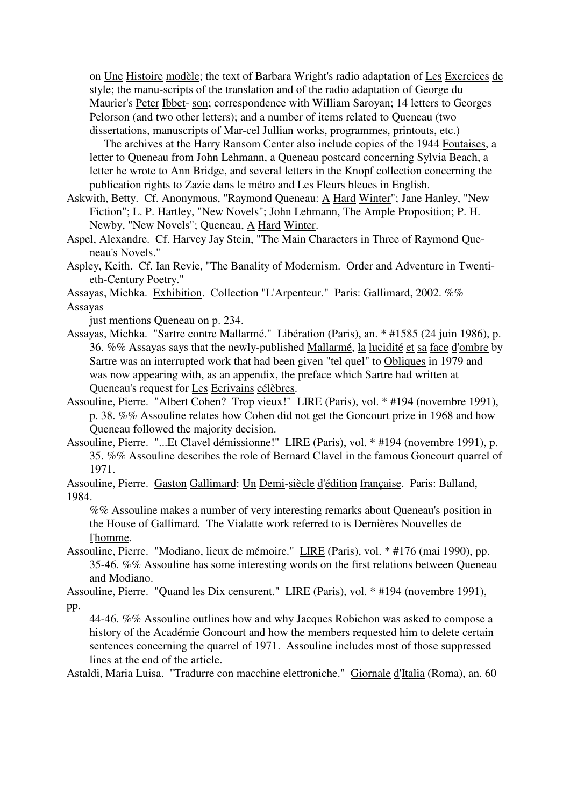on Une Histoire modèle; the text of Barbara Wright's radio adaptation of Les Exercices de style; the manu-scripts of the translation and of the radio adaptation of George du Maurier's Peter Ibbet- son; correspondence with William Saroyan; 14 letters to Georges Pelorson (and two other letters); and a number of items related to Queneau (two dissertations, manuscripts of Mar-cel Jullian works, programmes, printouts, etc.)

 The archives at the Harry Ransom Center also include copies of the 1944 Foutaises, a letter to Queneau from John Lehmann, a Queneau postcard concerning Sylvia Beach, a letter he wrote to Ann Bridge, and several letters in the Knopf collection concerning the publication rights to Zazie dans le métro and Les Fleurs bleues in English.

Askwith, Betty. Cf. Anonymous, "Raymond Queneau: A Hard Winter"; Jane Hanley, "New Fiction"; L. P. Hartley, "New Novels"; John Lehmann, The Ample Proposition; P. H. Newby, "New Novels"; Queneau, A Hard Winter.

Aspel, Alexandre. Cf. Harvey Jay Stein, "The Main Characters in Three of Raymond Queneau's Novels."

Aspley, Keith. Cf. Ian Revie, "The Banality of Modernism. Order and Adventure in Twentieth-Century Poetry."

Assayas, Michka. Exhibition. Collection "L'Arpenteur." Paris: Gallimard, 2002. %% Assayas

just mentions Queneau on p. 234.

- Assayas, Michka. "Sartre contre Mallarmé." Libération (Paris), an. \* #1585 (24 juin 1986), p. 36. %% Assayas says that the newly-published Mallarmé, la lucidité et sa face d'ombre by Sartre was an interrupted work that had been given "tel quel" to Obliques in 1979 and was now appearing with, as an appendix, the preface which Sartre had written at Queneau's request for Les Ecrivains célèbres.
- Assouline, Pierre. "Albert Cohen? Trop vieux!" LIRE (Paris), vol. \* #194 (novembre 1991), p. 38. %% Assouline relates how Cohen did not get the Goncourt prize in 1968 and how Queneau followed the majority decision.
- Assouline, Pierre. "...Et Clavel démissionne!" LIRE (Paris), vol. \* #194 (novembre 1991), p. 35. %% Assouline describes the role of Bernard Clavel in the famous Goncourt quarrel of 1971.

Assouline, Pierre. Gaston Gallimard: Un Demi-siècle d'édition française. Paris: Balland, 1984.

%% Assouline makes a number of very interesting remarks about Queneau's position in the House of Gallimard. The Vialatte work referred to is Dernières Nouvelles de l'homme.

Assouline, Pierre. "Modiano, lieux de mémoire." LIRE (Paris), vol. \* #176 (mai 1990), pp. 35-46. %% Assouline has some interesting words on the first relations between Queneau and Modiano.

Assouline, Pierre. "Quand les Dix censurent." LIRE (Paris), vol. \* #194 (novembre 1991), pp.

44-46. %% Assouline outlines how and why Jacques Robichon was asked to compose a history of the Académie Goncourt and how the members requested him to delete certain sentences concerning the quarrel of 1971. Assouline includes most of those suppressed lines at the end of the article.

Astaldi, Maria Luisa. "Tradurre con macchine elettroniche." Giornale d'Italia (Roma), an. 60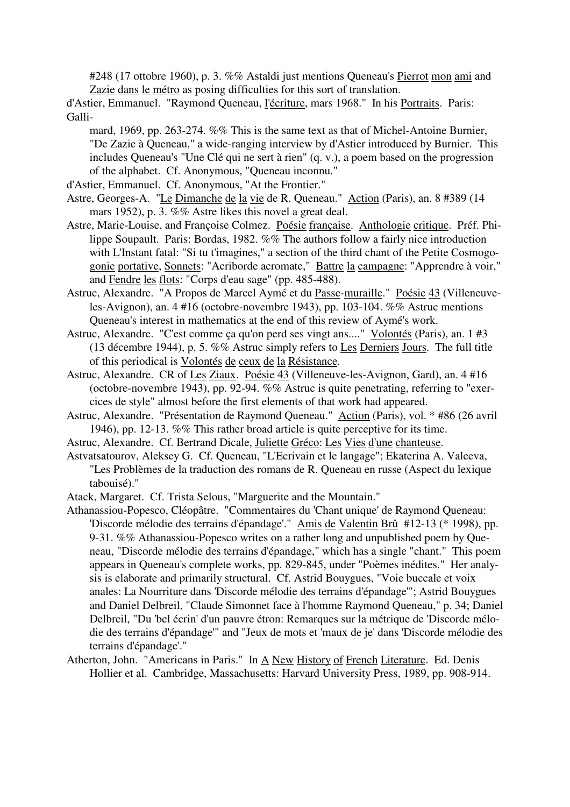#248 (17 ottobre 1960), p. 3. %% Astaldi just mentions Queneau's Pierrot mon ami and Zazie dans le métro as posing difficulties for this sort of translation.

d'Astier, Emmanuel. "Raymond Queneau, l'écriture, mars 1968." In his Portraits. Paris: Galli-

- mard, 1969, pp. 263-274. %% This is the same text as that of Michel-Antoine Burnier, "De Zazie à Queneau," a wide-ranging interview by d'Astier introduced by Burnier. This includes Queneau's "Une Clé qui ne sert à rien" (q. v.), a poem based on the progression of the alphabet. Cf. Anonymous, "Queneau inconnu."
- d'Astier, Emmanuel. Cf. Anonymous, "At the Frontier."
- Astre, Georges-A. "Le Dimanche de la vie de R. Queneau." Action (Paris), an. 8 #389 (14 mars 1952), p. 3. %% Astre likes this novel a great deal.
- Astre, Marie-Louise, and Françoise Colmez. Poésie française. Anthologie critique. Préf. Philippe Soupault. Paris: Bordas, 1982. %% The authors follow a fairly nice introduction with L'Instant fatal: "Si tu t'imagines," a section of the third chant of the Petite Cosmogogonie portative, Sonnets: "Acriborde acromate," Battre la campagne: "Apprendre à voir," and Fendre les flots: "Corps d'eau sage" (pp. 485-488).
- Astruc, Alexandre. "A Propos de Marcel Aymé et du Passe-muraille." Poésie 43 (Villeneuveles-Avignon), an. 4 #16 (octobre-novembre 1943), pp. 103-104. %% Astruc mentions Queneau's interest in mathematics at the end of this review of Aymé's work.
- Astruc, Alexandre. "C'est comme ça qu'on perd ses vingt ans...." Volontés (Paris), an. 1 #3 (13 décembre 1944), p. 5. %% Astruc simply refers to Les Derniers Jours. The full title of this periodical is Volontés de ceux de la Résistance.
- Astruc, Alexandre. CR of Les Ziaux. Poésie 43 (Villeneuve-les-Avignon, Gard), an. 4 #16 (octobre-novembre 1943), pp. 92-94. %% Astruc is quite penetrating, referring to "exercices de style" almost before the first elements of that work had appeared.
- Astruc, Alexandre. "Présentation de Raymond Queneau." Action (Paris), vol. \* #86 (26 avril 1946), pp. 12-13. %% This rather broad article is quite perceptive for its time.
- Astruc, Alexandre. Cf. Bertrand Dicale, Juliette Gréco: Les Vies d'une chanteuse.
- Astvatsatourov, Aleksey G. Cf. Queneau, "L'Ecrivain et le langage"; Ekaterina A. Valeeva, "Les Problèmes de la traduction des romans de R. Queneau en russe (Aspect du lexique tabouisé)."
- Atack, Margaret. Cf. Trista Selous, "Marguerite and the Mountain."

Athanassiou-Popesco, Cléopâtre. "Commentaires du 'Chant unique' de Raymond Queneau: 'Discorde mélodie des terrains d'épandage'." Amis de Valentin Brû #12-13 (\* 1998), pp. 9-31. %% Athanassiou-Popesco writes on a rather long and unpublished poem by Queneau, "Discorde mélodie des terrains d'épandage," which has a single "chant." This poem appears in Queneau's complete works, pp. 829-845, under "Poèmes inédites." Her analysis is elaborate and primarily structural. Cf. Astrid Bouygues, "Voie buccale et voix anales: La Nourriture dans 'Discorde mélodie des terrains d'épandage'"; Astrid Bouygues and Daniel Delbreil, "Claude Simonnet face à l'homme Raymond Queneau," p. 34; Daniel Delbreil, "Du 'bel écrin' d'un pauvre étron: Remarques sur la métrique de 'Discorde mélodie des terrains d'épandage'" and "Jeux de mots et 'maux de je' dans 'Discorde mélodie des terrains d'épandage'."

Atherton, John. "Americans in Paris." In A New History of French Literature. Ed. Denis Hollier et al. Cambridge, Massachusetts: Harvard University Press, 1989, pp. 908-914.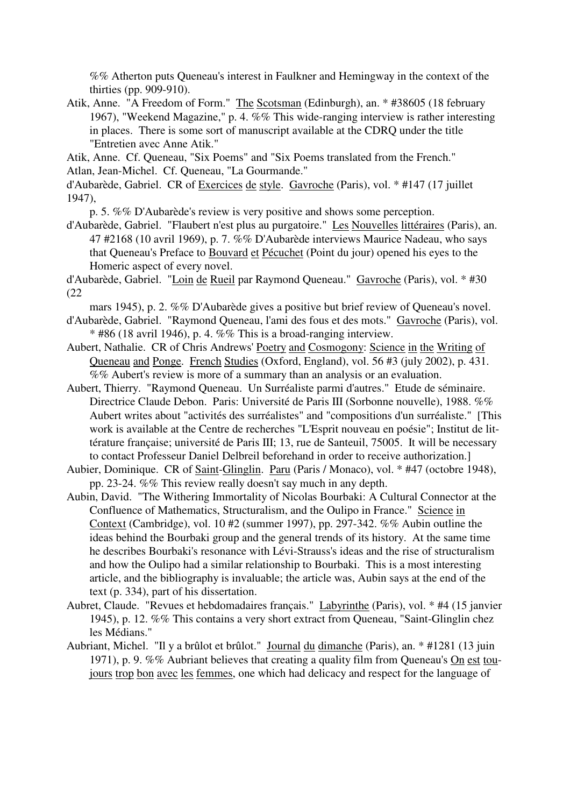%% Atherton puts Queneau's interest in Faulkner and Hemingway in the context of the thirties (pp. 909-910).

Atik, Anne. "A Freedom of Form." The Scotsman (Edinburgh), an. \* #38605 (18 february 1967), "Weekend Magazine," p. 4. %% This wide-ranging interview is rather interesting in places. There is some sort of manuscript available at the CDRQ under the title "Entretien avec Anne Atik."

Atik, Anne. Cf. Queneau, "Six Poems" and "Six Poems translated from the French." Atlan, Jean-Michel. Cf. Queneau, "La Gourmande."

d'Aubarède, Gabriel. CR of Exercices de style. Gavroche (Paris), vol. \* #147 (17 juillet 1947),

p. 5. %% D'Aubarède's review is very positive and shows some perception.

d'Aubarède, Gabriel. "Flaubert n'est plus au purgatoire." Les Nouvelles littéraires (Paris), an. 47 #2168 (10 avril 1969), p. 7. %% D'Aubarède interviews Maurice Nadeau, who says that Queneau's Preface to Bouvard et Pécuchet (Point du jour) opened his eyes to the Homeric aspect of every novel.

d'Aubarède, Gabriel. "Loin de Rueil par Raymond Queneau." Gavroche (Paris), vol. \* #30 (22

mars 1945), p. 2. %% D'Aubarède gives a positive but brief review of Queneau's novel.

- d'Aubarède, Gabriel. "Raymond Queneau, l'ami des fous et des mots." Gavroche (Paris), vol.  $*$  #86 (18 avril 1946), p. 4. %% This is a broad-ranging interview.
- Aubert, Nathalie. CR of Chris Andrews' Poetry and Cosmogony: Science in the Writing of Queneau and Ponge. French Studies (Oxford, England), vol. 56 #3 (july 2002), p. 431. %% Aubert's review is more of a summary than an analysis or an evaluation.
- Aubert, Thierry. "Raymond Queneau. Un Surréaliste parmi d'autres." Etude de séminaire. Directrice Claude Debon. Paris: Université de Paris III (Sorbonne nouvelle), 1988. %% Aubert writes about "activités des surréalistes" and "compositions d'un surréaliste." [This work is available at the Centre de recherches "L'Esprit nouveau en poésie"; Institut de littérature française; université de Paris III; 13, rue de Santeuil, 75005. It will be necessary to contact Professeur Daniel Delbreil beforehand in order to receive authorization.]
- Aubier, Dominique. CR of Saint-Glinglin. Paru (Paris / Monaco), vol. \* #47 (octobre 1948), pp. 23-24. %% This review really doesn't say much in any depth.
- Aubin, David. "The Withering Immortality of Nicolas Bourbaki: A Cultural Connector at the Confluence of Mathematics, Structuralism, and the Oulipo in France." Science in Context (Cambridge), vol. 10 #2 (summer 1997), pp. 297-342. %% Aubin outline the ideas behind the Bourbaki group and the general trends of its history. At the same time he describes Bourbaki's resonance with Lévi-Strauss's ideas and the rise of structuralism and how the Oulipo had a similar relationship to Bourbaki. This is a most interesting article, and the bibliography is invaluable; the article was, Aubin says at the end of the text (p. 334), part of his dissertation.
- Aubret, Claude. "Revues et hebdomadaires français." Labyrinthe (Paris), vol. \* #4 (15 janvier 1945), p. 12. %% This contains a very short extract from Queneau, "Saint-Glinglin chez les Médians."
- Aubriant, Michel. "Il y a brûlot et brûlot." Journal du dimanche (Paris), an. \* #1281 (13 juin 1971), p. 9. %% Aubriant believes that creating a quality film from Queneau's On est toujours trop bon avec les femmes, one which had delicacy and respect for the language of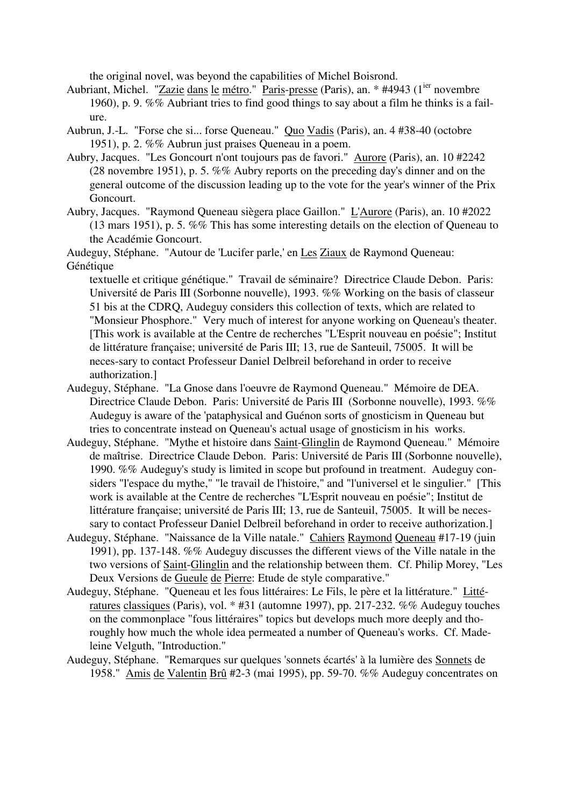the original novel, was beyond the capabilities of Michel Boisrond.

- Aubriant, Michel. "Zazie dans le métro." Paris-presse (Paris), an. \* #4943 (1<sup>ier</sup> novembre 1960), p. 9. %% Aubriant tries to find good things to say about a film he thinks is a failure.
- Aubrun, J.-L. "Forse che si... forse Queneau." Quo Vadis (Paris), an. 4 #38-40 (octobre 1951), p. 2. %% Aubrun just praises Queneau in a poem.
- Aubry, Jacques. "Les Goncourt n'ont toujours pas de favori." Aurore (Paris), an. 10 #2242 (28 novembre 1951), p. 5. %% Aubry reports on the preceding day's dinner and on the general outcome of the discussion leading up to the vote for the year's winner of the Prix Goncourt.
- Aubry, Jacques. "Raymond Queneau siègera place Gaillon." L'Aurore (Paris), an. 10 #2022 (13 mars 1951), p. 5. %% This has some interesting details on the election of Queneau to the Académie Goncourt.

Audeguy, Stéphane. "Autour de 'Lucifer parle,' en Les Ziaux de Raymond Queneau: Génétique

textuelle et critique génétique." Travail de séminaire? Directrice Claude Debon. Paris: Université de Paris III (Sorbonne nouvelle), 1993. %% Working on the basis of classeur 51 bis at the CDRQ, Audeguy considers this collection of texts, which are related to "Monsieur Phosphore." Very much of interest for anyone working on Queneau's theater. [This work is available at the Centre de recherches "L'Esprit nouveau en poésie"; Institut de littérature française; université de Paris III; 13, rue de Santeuil, 75005. It will be neces-sary to contact Professeur Daniel Delbreil beforehand in order to receive authorization.]

- Audeguy, Stéphane. "La Gnose dans l'oeuvre de Raymond Queneau." Mémoire de DEA. Directrice Claude Debon. Paris: Université de Paris III (Sorbonne nouvelle), 1993. %% Audeguy is aware of the 'pataphysical and Guénon sorts of gnosticism in Queneau but tries to concentrate instead on Queneau's actual usage of gnosticism in his works.
- Audeguy, Stéphane. "Mythe et histoire dans Saint-Glinglin de Raymond Queneau." Mémoire de maîtrise. Directrice Claude Debon. Paris: Université de Paris III (Sorbonne nouvelle), 1990. %% Audeguy's study is limited in scope but profound in treatment. Audeguy considers "l'espace du mythe," "le travail de l'histoire," and "l'universel et le singulier." [This work is available at the Centre de recherches "L'Esprit nouveau en poésie"; Institut de littérature française; université de Paris III; 13, rue de Santeuil, 75005. It will be necessary to contact Professeur Daniel Delbreil beforehand in order to receive authorization.]
- Audeguy, Stéphane. "Naissance de la Ville natale." Cahiers Raymond Queneau #17-19 (juin 1991), pp. 137-148. %% Audeguy discusses the different views of the Ville natale in the two versions of Saint-Glinglin and the relationship between them. Cf. Philip Morey, "Les Deux Versions de Gueule de Pierre: Etude de style comparative."
- Audeguy, Stéphane. "Queneau et les fous littéraires: Le Fils, le père et la littérature." Littératures classiques (Paris), vol. \* #31 (automne 1997), pp. 217-232. %% Audeguy touches on the commonplace "fous littéraires" topics but develops much more deeply and thoroughly how much the whole idea permeated a number of Queneau's works. Cf. Madeleine Velguth, "Introduction."
- Audeguy, Stéphane. "Remarques sur quelques 'sonnets écartés' à la lumière des Sonnets de 1958." Amis de Valentin Brû #2-3 (mai 1995), pp. 59-70. %% Audeguy concentrates on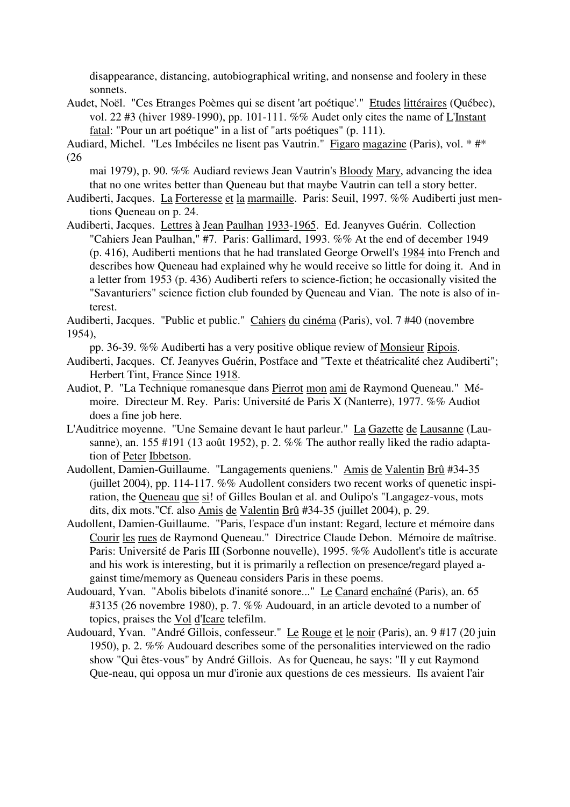disappearance, distancing, autobiographical writing, and nonsense and foolery in these sonnets.

Audet, Noël. "Ces Etranges Poèmes qui se disent 'art poétique'." Etudes littéraires (Québec), vol. 22 #3 (hiver 1989-1990), pp. 101-111. %% Audet only cites the name of L'Instant fatal: "Pour un art poétique" in a list of "arts poétiques" (p. 111).

Audiard, Michel. "Les Imbéciles ne lisent pas Vautrin." Figaro magazine (Paris), vol. \* #\* (26

mai 1979), p. 90. %% Audiard reviews Jean Vautrin's Bloody Mary, advancing the idea that no one writes better than Queneau but that maybe Vautrin can tell a story better.

Audiberti, Jacques. La Forteresse et la marmaille. Paris: Seuil, 1997. %% Audiberti just mentions Queneau on p. 24.

Audiberti, Jacques. Lettres à Jean Paulhan 1933-1965. Ed. Jeanyves Guérin. Collection "Cahiers Jean Paulhan," #7. Paris: Gallimard, 1993. %% At the end of december 1949 (p. 416), Audiberti mentions that he had translated George Orwell's 1984 into French and describes how Queneau had explained why he would receive so little for doing it. And in a letter from 1953 (p. 436) Audiberti refers to science-fiction; he occasionally visited the "Savanturiers" science fiction club founded by Queneau and Vian. The note is also of interest.

Audiberti, Jacques. "Public et public." Cahiers du cinéma (Paris), vol. 7 #40 (novembre 1954),

pp. 36-39. %% Audiberti has a very positive oblique review of Monsieur Ripois.

Audiberti, Jacques. Cf. Jeanyves Guérin, Postface and "Texte et théatricalité chez Audiberti"; Herbert Tint, France Since 1918.

- Audiot, P. "La Technique romanesque dans Pierrot mon ami de Raymond Queneau." Mémoire. Directeur M. Rey. Paris: Université de Paris X (Nanterre), 1977. %% Audiot does a fine job here.
- L'Auditrice moyenne. "Une Semaine devant le haut parleur." La Gazette de Lausanne (Lausanne), an. 155 #191 (13 août 1952), p. 2. %% The author really liked the radio adaptation of Peter Ibbetson.
- Audollent, Damien-Guillaume. "Langagements queniens." Amis de Valentin Brû #34-35 (juillet 2004), pp. 114-117. %% Audollent considers two recent works of quenetic inspiration, the Queneau que si! of Gilles Boulan et al. and Oulipo's "Langagez-vous, mots dits, dix mots."Cf. also Amis de Valentin Brû #34-35 (juillet 2004), p. 29.
- Audollent, Damien-Guillaume. "Paris, l'espace d'un instant: Regard, lecture et mémoire dans Courir les rues de Raymond Queneau." Directrice Claude Debon. Mémoire de maîtrise. Paris: Université de Paris III (Sorbonne nouvelle), 1995. %% Audollent's title is accurate and his work is interesting, but it is primarily a reflection on presence/regard played against time/memory as Queneau considers Paris in these poems.
- Audouard, Yvan. "Abolis bibelots d'inanité sonore..." Le Canard enchaîné (Paris), an. 65 #3135 (26 novembre 1980), p. 7. %% Audouard, in an article devoted to a number of topics, praises the Vol d'Icare telefilm.
- Audouard, Yvan. "André Gillois, confesseur." Le Rouge et le noir (Paris), an. 9 #17 (20 juin 1950), p. 2. %% Audouard describes some of the personalities interviewed on the radio show "Qui êtes-vous" by André Gillois. As for Queneau, he says: "Il y eut Raymond Que-neau, qui opposa un mur d'ironie aux questions de ces messieurs. Ils avaient l'air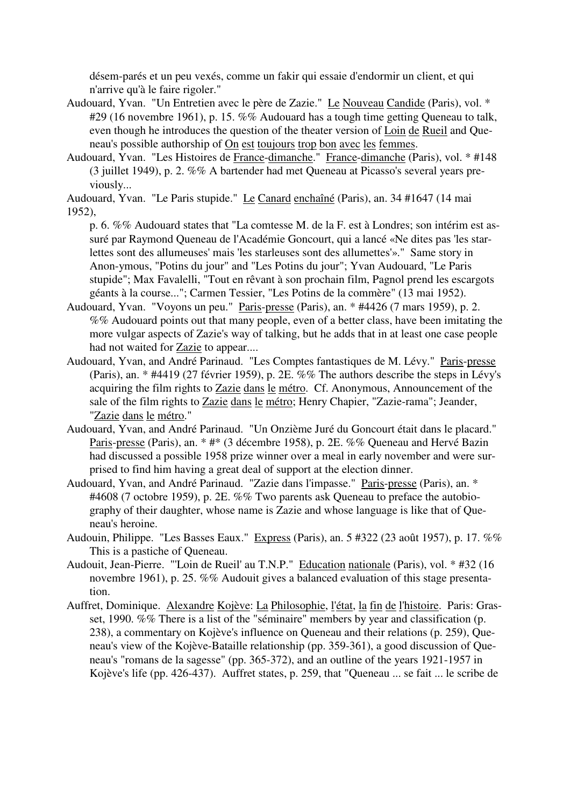désem-parés et un peu vexés, comme un fakir qui essaie d'endormir un client, et qui n'arrive qu'à le faire rigoler."

- Audouard, Yvan. "Un Entretien avec le père de Zazie." Le Nouveau Candide (Paris), vol. \* #29 (16 novembre 1961), p. 15. %% Audouard has a tough time getting Queneau to talk, even though he introduces the question of the theater version of Loin de Rueil and Queneau's possible authorship of On est toujours trop bon avec les femmes.
- Audouard, Yvan. "Les Histoires de France-dimanche." France-dimanche (Paris), vol. \* #148 (3 juillet 1949), p. 2. %% A bartender had met Queneau at Picasso's several years previously...

Audouard, Yvan. "Le Paris stupide." Le Canard enchaîné (Paris), an. 34 #1647 (14 mai 1952),

p. 6. %% Audouard states that "La comtesse M. de la F. est à Londres; son intérim est assuré par Raymond Queneau de l'Académie Goncourt, qui a lancé «Ne dites pas 'les starlettes sont des allumeuses' mais 'les starleuses sont des allumettes'»." Same story in Anon-ymous, "Potins du jour" and "Les Potins du jour"; Yvan Audouard, "Le Paris stupide"; Max Favalelli, "Tout en rêvant à son prochain film, Pagnol prend les escargots géants à la course..."; Carmen Tessier, "Les Potins de la commère" (13 mai 1952).

- Audouard, Yvan. "Voyons un peu." Paris-presse (Paris), an. \* #4426 (7 mars 1959), p. 2. %% Audouard points out that many people, even of a better class, have been imitating the more vulgar aspects of Zazie's way of talking, but he adds that in at least one case people had not waited for Zazie to appear....
- Audouard, Yvan, and André Parinaud. "Les Comptes fantastiques de M. Lévy." Paris-presse (Paris), an. \* #4419 (27 février 1959), p. 2E. %% The authors describe the steps in Lévy's acquiring the film rights to Zazie dans le métro. Cf. Anonymous, Announcement of the sale of the film rights to Zazie dans le métro; Henry Chapier, "Zazie-rama"; Jeander, "Zazie dans le métro."
- Audouard, Yvan, and André Parinaud. "Un Onzième Juré du Goncourt était dans le placard." Paris-presse (Paris), an. \* #\* (3 décembre 1958), p. 2E. %% Queneau and Hervé Bazin had discussed a possible 1958 prize winner over a meal in early november and were surprised to find him having a great deal of support at the election dinner.
- Audouard, Yvan, and André Parinaud. "Zazie dans l'impasse." Paris-presse (Paris), an. \* #4608 (7 octobre 1959), p. 2E. %% Two parents ask Queneau to preface the autobiography of their daughter, whose name is Zazie and whose language is like that of Queneau's heroine.
- Audouin, Philippe. "Les Basses Eaux." Express (Paris), an. 5 #322 (23 août 1957), p. 17. %% This is a pastiche of Queneau.
- Audouit, Jean-Pierre. "'Loin de Rueil' au T.N.P." Education nationale (Paris), vol. \* #32 (16 novembre 1961), p. 25. %% Audouit gives a balanced evaluation of this stage presentation.
- Auffret, Dominique. Alexandre Kojève: La Philosophie, l'état, la fin de l'histoire. Paris: Grasset, 1990. %% There is a list of the "séminaire" members by year and classification (p. 238), a commentary on Kojève's influence on Queneau and their relations (p. 259), Queneau's view of the Kojève-Bataille relationship (pp. 359-361), a good discussion of Queneau's "romans de la sagesse" (pp. 365-372), and an outline of the years 1921-1957 in Kojève's life (pp. 426-437). Auffret states, p. 259, that "Queneau ... se fait ... le scribe de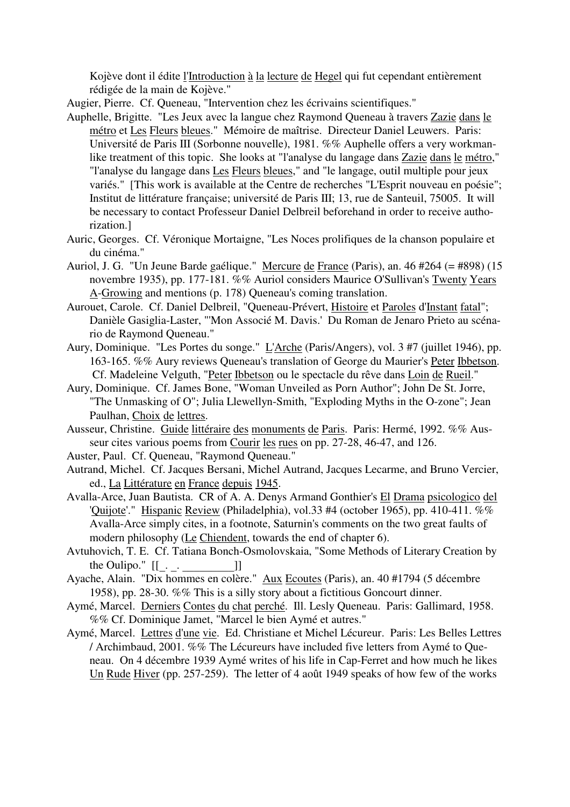Kojève dont il édite l'Introduction à la lecture de Hegel qui fut cependant entièrement rédigée de la main de Kojève."

Augier, Pierre. Cf. Queneau, "Intervention chez les écrivains scientifiques."

- Auphelle, Brigitte. "Les Jeux avec la langue chez Raymond Queneau à travers Zazie dans le métro et Les Fleurs bleues." Mémoire de maîtrise. Directeur Daniel Leuwers. Paris: Université de Paris III (Sorbonne nouvelle), 1981. %% Auphelle offers a very workmanlike treatment of this topic. She looks at "l'analyse du langage dans Zazie dans le métro," "l'analyse du langage dans Les Fleurs bleues," and "le langage, outil multiple pour jeux variés." [This work is available at the Centre de recherches "L'Esprit nouveau en poésie"; Institut de littérature française; université de Paris III; 13, rue de Santeuil, 75005. It will be necessary to contact Professeur Daniel Delbreil beforehand in order to receive authorization.]
- Auric, Georges. Cf. Véronique Mortaigne, "Les Noces prolifiques de la chanson populaire et du cinéma."
- Auriol, J. G. "Un Jeune Barde gaélique." Mercure de France (Paris), an. 46 #264 (= #898) (15 novembre 1935), pp. 177-181. %% Auriol considers Maurice O'Sullivan's Twenty Years A-Growing and mentions (p. 178) Queneau's coming translation.
- Aurouet, Carole. Cf. Daniel Delbreil, "Queneau-Prévert, Histoire et Paroles d'Instant fatal"; Danièle Gasiglia-Laster, "'Mon Associé M. Davis.' Du Roman de Jenaro Prieto au scénario de Raymond Queneau."
- Aury, Dominique. "Les Portes du songe." L'Arche (Paris/Angers), vol. 3 #7 (juillet 1946), pp. 163-165. %% Aury reviews Queneau's translation of George du Maurier's Peter Ibbetson. Cf. Madeleine Velguth, "Peter Ibbetson ou le spectacle du rêve dans Loin de Rueil."
- Aury, Dominique. Cf. James Bone, "Woman Unveiled as Porn Author"; John De St. Jorre, "The Unmasking of O"; Julia Llewellyn-Smith, "Exploding Myths in the O-zone"; Jean Paulhan, Choix de lettres.
- Ausseur, Christine. Guide littéraire des monuments de Paris. Paris: Hermé, 1992. %% Ausseur cites various poems from Courir les rues on pp. 27-28, 46-47, and 126.
- Auster, Paul. Cf. Queneau, "Raymond Queneau."
- Autrand, Michel. Cf. Jacques Bersani, Michel Autrand, Jacques Lecarme, and Bruno Vercier, ed., La Littérature en France depuis 1945.
- Avalla-Arce, Juan Bautista. CR of A. A. Denys Armand Gonthier's El Drama psicologico del 'Quijote'." Hispanic Review (Philadelphia), vol.33 #4 (october 1965), pp. 410-411. %% Avalla-Arce simply cites, in a footnote, Saturnin's comments on the two great faults of modern philosophy (Le Chiendent, towards the end of chapter 6).
- Avtuhovich, T. E. Cf. Tatiana Bonch-Osmolovskaia, "Some Methods of Literary Creation by
- the Oulipo."  $[[\_] \cdot \underline{\hspace{1cm}}]$ ]<br>Ayache, Alain. "Dix hommes en colère." <u>Aux Ecoutes</u> (Paris), an. 40 #1794 (5 décembre 1958), pp. 28-30. %% This is a silly story about a fictitious Goncourt dinner.
- Aymé, Marcel. Derniers Contes du chat perché. Ill. Lesly Queneau. Paris: Gallimard, 1958. %% Cf. Dominique Jamet, "Marcel le bien Aymé et autres."
- Aymé, Marcel. Lettres d'une vie. Ed. Christiane et Michel Lécureur. Paris: Les Belles Lettres / Archimbaud, 2001. %% The Lécureurs have included five letters from Aymé to Queneau. On 4 décembre 1939 Aymé writes of his life in Cap-Ferret and how much he likes Un Rude Hiver (pp. 257-259). The letter of 4 août 1949 speaks of how few of the works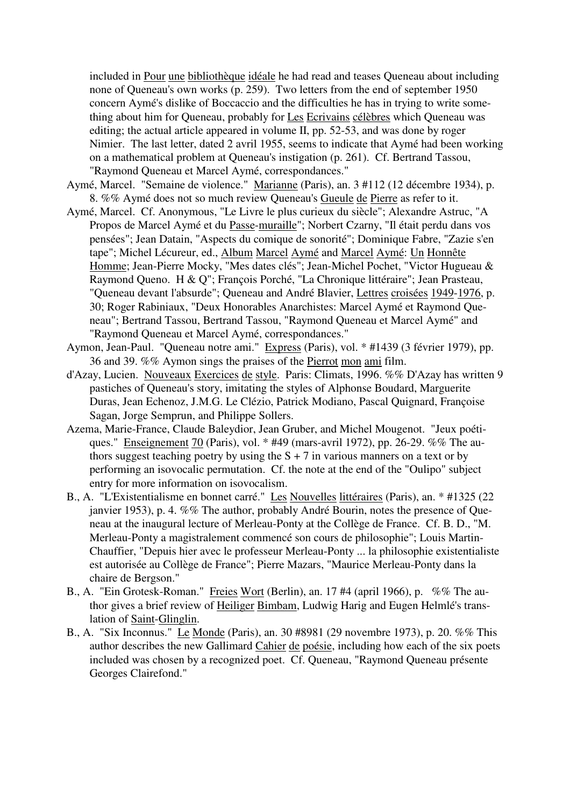included in Pour une bibliothèque idéale he had read and teases Queneau about including none of Queneau's own works (p. 259). Two letters from the end of september 1950 concern Aymé's dislike of Boccaccio and the difficulties he has in trying to write something about him for Queneau, probably for Les Ecrivains célèbres which Queneau was editing; the actual article appeared in volume II, pp. 52-53, and was done by roger Nimier. The last letter, dated 2 avril 1955, seems to indicate that Aymé had been working on a mathematical problem at Queneau's instigation (p. 261). Cf. Bertrand Tassou, "Raymond Queneau et Marcel Aymé, correspondances."

- Aymé, Marcel. "Semaine de violence." Marianne (Paris), an. 3 #112 (12 décembre 1934), p. 8. %% Aymé does not so much review Queneau's Gueule de Pierre as refer to it.
- Aymé, Marcel. Cf. Anonymous, "Le Livre le plus curieux du siècle"; Alexandre Astruc, "A Propos de Marcel Aymé et du Passe-muraille"; Norbert Czarny, "Il était perdu dans vos pensées"; Jean Datain, "Aspects du comique de sonorité"; Dominique Fabre, "Zazie s'en tape"; Michel Lécureur, ed., Album Marcel Aymé and Marcel Aymé: Un Honnête Homme; Jean-Pierre Mocky, "Mes dates clés"; Jean-Michel Pochet, "Victor Hugueau & Raymond Queno. H & Q"; François Porché, "La Chronique littéraire"; Jean Prasteau, "Queneau devant l'absurde"; Queneau and André Blavier, Lettres croisées 1949-1976, p. 30; Roger Rabiniaux, "Deux Honorables Anarchistes: Marcel Aymé et Raymond Queneau"; Bertrand Tassou, Bertrand Tassou, "Raymond Queneau et Marcel Aymé" and "Raymond Queneau et Marcel Aymé, correspondances."
- Aymon, Jean-Paul. "Queneau notre ami." Express (Paris), vol. \* #1439 (3 février 1979), pp. 36 and 39. %% Aymon sings the praises of the Pierrot mon ami film.
- d'Azay, Lucien. Nouveaux Exercices de style. Paris: Climats, 1996. %% D'Azay has written 9 pastiches of Queneau's story, imitating the styles of Alphonse Boudard, Marguerite Duras, Jean Echenoz, J.M.G. Le Clézio, Patrick Modiano, Pascal Quignard, Françoise Sagan, Jorge Semprun, and Philippe Sollers.
- Azema, Marie-France, Claude Baleydior, Jean Gruber, and Michel Mougenot. "Jeux poétiques." Enseignement 70 (Paris), vol. \* #49 (mars-avril 1972), pp. 26-29. %% The authors suggest teaching poetry by using the  $S + 7$  in various manners on a text or by performing an isovocalic permutation. Cf. the note at the end of the "Oulipo" subject entry for more information on isovocalism.
- B., A. "L'Existentialisme en bonnet carré." Les Nouvelles littéraires (Paris), an. \* #1325 (22 janvier 1953), p. 4. %% The author, probably André Bourin, notes the presence of Queneau at the inaugural lecture of Merleau-Ponty at the Collège de France. Cf. B. D., "M. Merleau-Ponty a magistralement commencé son cours de philosophie"; Louis Martin-Chauffier, "Depuis hier avec le professeur Merleau-Ponty ... la philosophie existentialiste est autorisée au Collège de France"; Pierre Mazars, "Maurice Merleau-Ponty dans la chaire de Bergson."
- B., A. "Ein Grotesk-Roman." Freies Wort (Berlin), an. 17 #4 (april 1966), p. %% The author gives a brief review of Heiliger Bimbam, Ludwig Harig and Eugen Helmlé's translation of Saint-Glinglin.
- B., A. "Six Inconnus." Le Monde (Paris), an. 30 #8981 (29 novembre 1973), p. 20. %% This author describes the new Gallimard Cahier de poésie, including how each of the six poets included was chosen by a recognized poet. Cf. Queneau, "Raymond Queneau présente Georges Clairefond."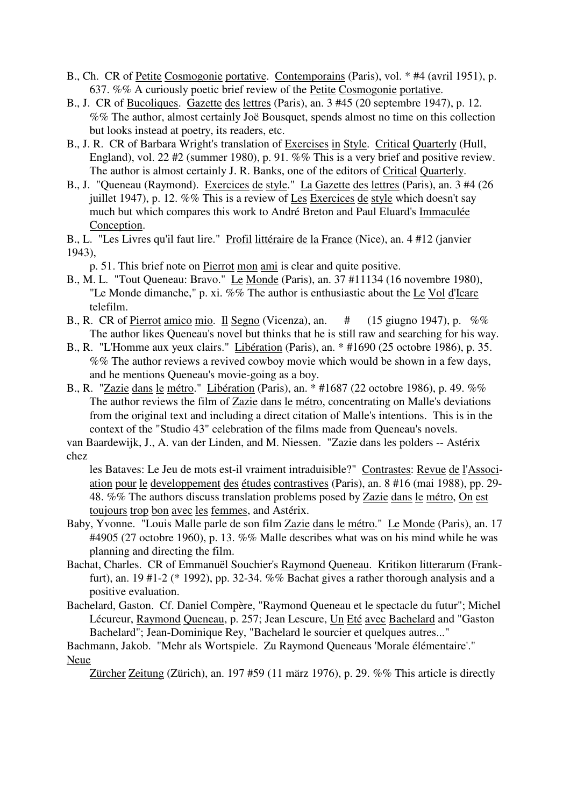- B., Ch. CR of Petite Cosmogonie portative. Contemporains (Paris), vol. \* #4 (avril 1951), p. 637. %% A curiously poetic brief review of the Petite Cosmogonie portative.
- B., J. CR of Bucoliques. Gazette des lettres (Paris), an. 3 #45 (20 septembre 1947), p. 12. %% The author, almost certainly Joë Bousquet, spends almost no time on this collection but looks instead at poetry, its readers, etc.
- B., J. R. CR of Barbara Wright's translation of Exercises in Style. Critical Quarterly (Hull, England), vol. 22 #2 (summer 1980), p. 91. %% This is a very brief and positive review. The author is almost certainly J. R. Banks, one of the editors of Critical Quarterly.
- B., J. "Queneau (Raymond). Exercices de style." La Gazette des lettres (Paris), an. 3 #4 (26 juillet 1947), p. 12. %% This is a review of Les Exercices de style which doesn't say much but which compares this work to André Breton and Paul Eluard's Immaculée Conception.
- B., L. "Les Livres qu'il faut lire." Profil littéraire de la France (Nice), an. 4 #12 (janvier 1943),
	- p. 51. This brief note on Pierrot mon ami is clear and quite positive.
- B., M. L. "Tout Queneau: Bravo." Le Monde (Paris), an. 37 #11134 (16 novembre 1980), "Le Monde dimanche," p. xi. %% The author is enthusiastic about the Le Vol d'Icare telefilm.
- B., R. CR of Pierrot amico mio. Il Segno (Vicenza), an. # (15 giugno 1947), p. %% The author likes Queneau's novel but thinks that he is still raw and searching for his way.
- B., R. "L'Homme aux yeux clairs." Libération (Paris), an. \* #1690 (25 octobre 1986), p. 35. %% The author reviews a revived cowboy movie which would be shown in a few days, and he mentions Queneau's movie-going as a boy.
- B., R. "Zazie dans le métro." Libération (Paris), an. \* #1687 (22 octobre 1986), p. 49. %% The author reviews the film of Zazie dans le métro, concentrating on Malle's deviations from the original text and including a direct citation of Malle's intentions. This is in the context of the "Studio 43" celebration of the films made from Queneau's novels.

van Baardewijk, J., A. van der Linden, and M. Niessen. "Zazie dans les polders -- Astérix chez

les Bataves: Le Jeu de mots est-il vraiment intraduisible?" Contrastes: Revue de l'Association pour le developpement des études contrastives (Paris), an. 8 #16 (mai 1988), pp. 29- 48. %% The authors discuss translation problems posed by Zazie dans le métro, On est toujours trop bon avec les femmes, and Astérix.

- Baby, Yvonne. "Louis Malle parle de son film Zazie dans le métro." Le Monde (Paris), an. 17 #4905 (27 octobre 1960), p. 13. %% Malle describes what was on his mind while he was planning and directing the film.
- Bachat, Charles. CR of Emmanuël Souchier's Raymond Queneau. Kritikon litterarum (Frankfurt), an. 19 #1-2 (\* 1992), pp. 32-34. %% Bachat gives a rather thorough analysis and a positive evaluation.
- Bachelard, Gaston. Cf. Daniel Compère, "Raymond Queneau et le spectacle du futur"; Michel Lécureur, Raymond Queneau, p. 257; Jean Lescure, Un Eté avec Bachelard and "Gaston Bachelard"; Jean-Dominique Rey, "Bachelard le sourcier et quelques autres..."
- Bachmann, Jakob. "Mehr als Wortspiele. Zu Raymond Queneaus 'Morale élémentaire'." Neue

Zürcher Zeitung (Zürich), an. 197 #59 (11 märz 1976), p. 29. %% This article is directly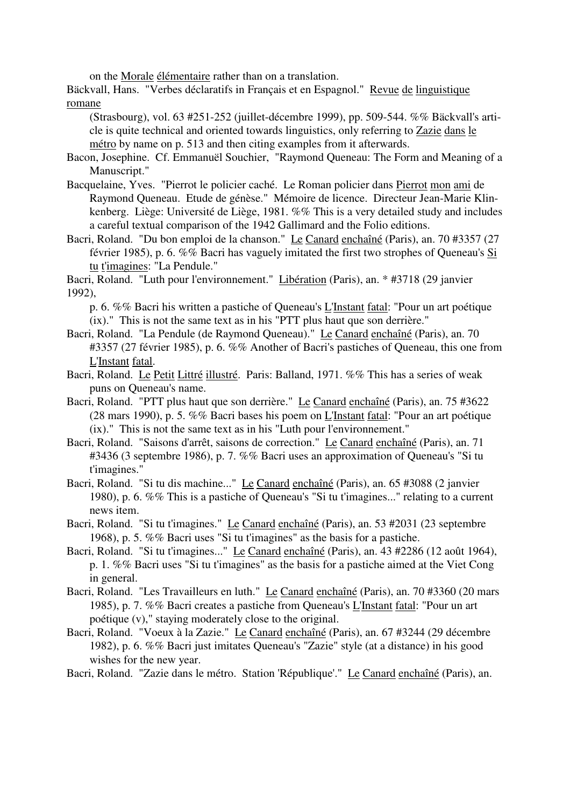on the Morale élémentaire rather than on a translation.

Bäckvall, Hans. "Verbes déclaratifs in Français et en Espagnol." Revue de linguistique romane

(Strasbourg), vol. 63 #251-252 (juillet-décembre 1999), pp. 509-544. %% Bäckvall's article is quite technical and oriented towards linguistics, only referring to Zazie dans le métro by name on p. 513 and then citing examples from it afterwards.

Bacon, Josephine. Cf. Emmanuël Souchier, "Raymond Queneau: The Form and Meaning of a Manuscript."

- Bacquelaine, Yves. "Pierrot le policier caché. Le Roman policier dans Pierrot mon ami de Raymond Queneau. Etude de génèse." Mémoire de licence. Directeur Jean-Marie Klinkenberg. Liège: Université de Liège, 1981. %% This is a very detailed study and includes a careful textual comparison of the 1942 Gallimard and the Folio editions.
- Bacri, Roland. "Du bon emploi de la chanson." Le Canard enchaîné (Paris), an. 70 #3357 (27 février 1985), p. 6. %% Bacri has vaguely imitated the first two strophes of Queneau's Si tu t'imagines: "La Pendule."

Bacri, Roland. "Luth pour l'environnement." Libération (Paris), an. \* #3718 (29 janvier 1992),

p. 6. %% Bacri his written a pastiche of Queneau's L'Instant fatal: "Pour un art poétique (ix)." This is not the same text as in his "PTT plus haut que son derrière."

- Bacri, Roland. "La Pendule (de Raymond Queneau)." Le Canard enchaîné (Paris), an. 70 #3357 (27 février 1985), p. 6. %% Another of Bacri's pastiches of Queneau, this one from L'Instant fatal.
- Bacri, Roland. Le Petit Littré illustré. Paris: Balland, 1971. %% This has a series of weak puns on Queneau's name.
- Bacri, Roland. "PTT plus haut que son derrière." Le Canard enchaîné (Paris), an. 75 #3622 (28 mars 1990), p. 5. %% Bacri bases his poem on L'Instant fatal: "Pour an art poétique (ix)." This is not the same text as in his "Luth pour l'environnement."
- Bacri, Roland. "Saisons d'arrêt, saisons de correction." Le Canard enchaîné (Paris), an. 71 #3436 (3 septembre 1986), p. 7. %% Bacri uses an approximation of Queneau's "Si tu t'imagines."
- Bacri, Roland. "Si tu dis machine..." Le Canard enchaîné (Paris), an. 65 #3088 (2 janvier 1980), p. 6. %% This is a pastiche of Queneau's "Si tu t'imagines..." relating to a current news item.
- Bacri, Roland. "Si tu t'imagines." Le Canard enchaîné (Paris), an. 53 #2031 (23 septembre 1968), p. 5. %% Bacri uses "Si tu t'imagines" as the basis for a pastiche.
- Bacri, Roland. "Si tu t'imagines..." Le Canard enchaîné (Paris), an. 43 #2286 (12 août 1964), p. 1. %% Bacri uses "Si tu t'imagines" as the basis for a pastiche aimed at the Viet Cong in general.
- Bacri, Roland. "Les Travailleurs en luth." Le Canard enchaîné (Paris), an. 70 #3360 (20 mars 1985), p. 7. %% Bacri creates a pastiche from Queneau's L'Instant fatal: "Pour un art poétique (v)," staying moderately close to the original.
- Bacri, Roland. "Voeux à la Zazie." Le Canard enchaîné (Paris), an. 67 #3244 (29 décembre 1982), p. 6. %% Bacri just imitates Queneau's "Zazie" style (at a distance) in his good wishes for the new year.
- Bacri, Roland. "Zazie dans le métro. Station 'République'." Le Canard enchaîné (Paris), an.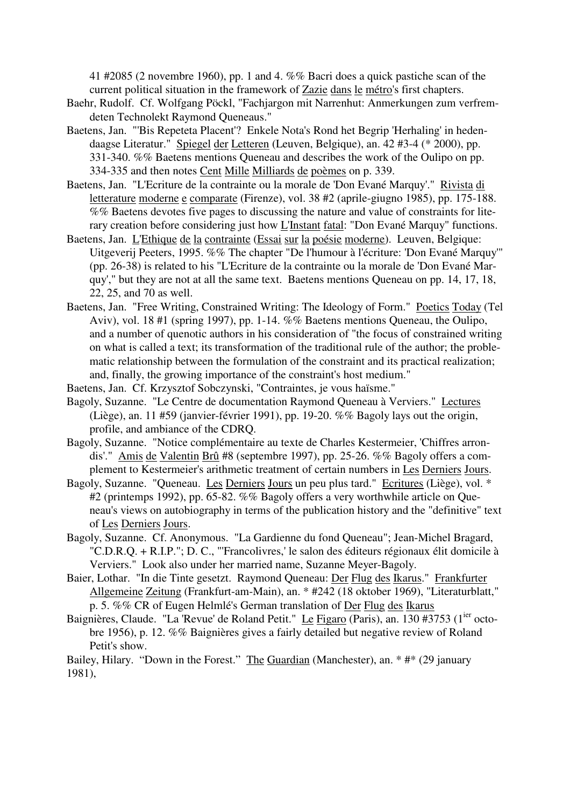41 #2085 (2 novembre 1960), pp. 1 and 4. %% Bacri does a quick pastiche scan of the current political situation in the framework of Zazie dans le métro's first chapters.

- Baehr, Rudolf. Cf. Wolfgang Pöckl, "Fachjargon mit Narrenhut: Anmerkungen zum verfremdeten Technolekt Raymond Queneaus."
- Baetens, Jan. "'Bis Repeteta Placent'? Enkele Nota's Rond het Begrip 'Herhaling' in hedendaagse Literatur." Spiegel der Letteren (Leuven, Belgique), an. 42 #3-4 (\* 2000), pp. 331-340. %% Baetens mentions Queneau and describes the work of the Oulipo on pp. 334-335 and then notes Cent Mille Milliards de poèmes on p. 339.
- Baetens, Jan. "L'Ecriture de la contrainte ou la morale de 'Don Evané Marquy'." Rivista di letterature moderne e comparate (Firenze), vol. 38 #2 (aprile-giugno 1985), pp. 175-188. %% Baetens devotes five pages to discussing the nature and value of constraints for literary creation before considering just how L'Instant fatal: "Don Evané Marquy" functions.
- Baetens, Jan. L'Ethique de la contrainte (Essai sur la poésie moderne). Leuven, Belgique: Uitgeverij Peeters, 1995. %% The chapter "De l'humour à l'écriture: 'Don Evané Marquy'" (pp. 26-38) is related to his "L'Ecriture de la contrainte ou la morale de 'Don Evané Marquy'," but they are not at all the same text. Baetens mentions Queneau on pp. 14, 17, 18, 22, 25, and 70 as well.
- Baetens, Jan. "Free Writing, Constrained Writing: The Ideology of Form." Poetics Today (Tel Aviv), vol. 18 #1 (spring 1997), pp. 1-14. %% Baetens mentions Queneau, the Oulipo, and a number of quenotic authors in his consideration of "the focus of constrained writing on what is called a text; its transformation of the traditional rule of the author; the problematic relationship between the formulation of the constraint and its practical realization; and, finally, the growing importance of the constraint's host medium."
- Baetens, Jan. Cf. Krzysztof Sobczynski, "Contraintes, je vous haïsme."
- Bagoly, Suzanne. "Le Centre de documentation Raymond Queneau à Verviers." Lectures (Liège), an. 11 #59 (janvier-février 1991), pp. 19-20. %% Bagoly lays out the origin, profile, and ambiance of the CDRQ.
- Bagoly, Suzanne. "Notice complémentaire au texte de Charles Kestermeier, 'Chiffres arrondis'." Amis de Valentin Brû #8 (septembre 1997), pp. 25-26. %% Bagoly offers a complement to Kestermeier's arithmetic treatment of certain numbers in Les Derniers Jours.
- Bagoly, Suzanne. "Queneau. Les Derniers Jours un peu plus tard." Ecritures (Liège), vol. \* #2 (printemps 1992), pp. 65-82. %% Bagoly offers a very worthwhile article on Queneau's views on autobiography in terms of the publication history and the "definitive" text of Les Derniers Jours.
- Bagoly, Suzanne. Cf. Anonymous. "La Gardienne du fond Queneau"; Jean-Michel Bragard, "C.D.R.Q. + R.I.P."; D. C., "'Francolivres,' le salon des éditeurs régionaux élit domicile à Verviers." Look also under her married name, Suzanne Meyer-Bagoly.
- Baier, Lothar. "In die Tinte gesetzt. Raymond Queneau: Der Flug des Ikarus." Frankfurter Allgemeine Zeitung (Frankfurt-am-Main), an. \* #242 (18 oktober 1969), "Literaturblatt," p. 5. %% CR of Eugen Helmlé's German translation of Der Flug des Ikarus
- Baignières, Claude. "La 'Revue' de Roland Petit." Le Figaro (Paris), an. 130 #3753 (1<sup>ier</sup> octobre 1956), p. 12. %% Baignières gives a fairly detailed but negative review of Roland Petit's show.

Bailey, Hilary. "Down in the Forest." The Guardian (Manchester), an. \* #\* (29 january 1981),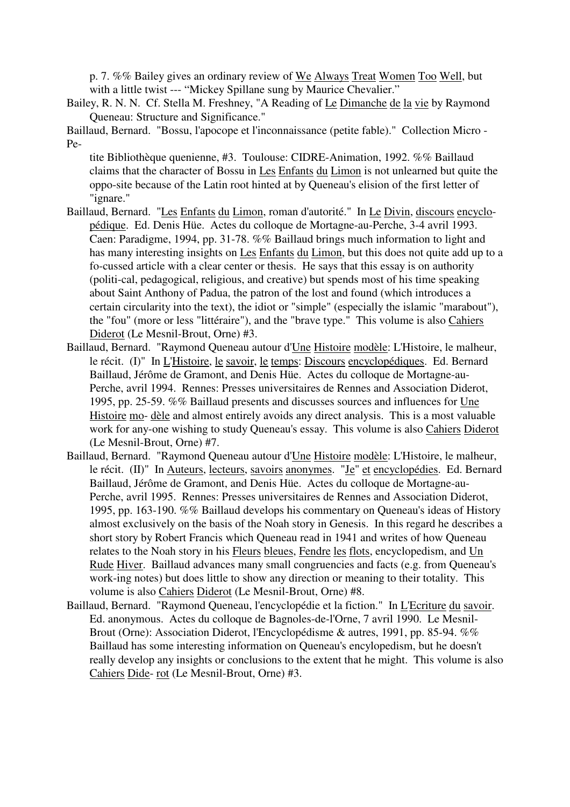p. 7. %% Bailey gives an ordinary review of We Always Treat Women Too Well, but with a little twist --- "Mickey Spillane sung by Maurice Chevalier."

Bailey, R. N. N. Cf. Stella M. Freshney, "A Reading of Le Dimanche de la vie by Raymond Queneau: Structure and Significance."

Baillaud, Bernard. "Bossu, l'apocope et l'inconnaissance (petite fable)." Collection Micro - Pe-

tite Bibliothèque quenienne, #3. Toulouse: CIDRE-Animation, 1992. %% Baillaud claims that the character of Bossu in Les Enfants du Limon is not unlearned but quite the oppo-site because of the Latin root hinted at by Queneau's elision of the first letter of "ignare."

- Baillaud, Bernard. "Les Enfants du Limon, roman d'autorité." In Le Divin, discours encyclopédique. Ed. Denis Hüe. Actes du colloque de Mortagne-au-Perche, 3-4 avril 1993. Caen: Paradigme, 1994, pp. 31-78. %% Baillaud brings much information to light and has many interesting insights on Les Enfants du Limon, but this does not quite add up to a fo-cussed article with a clear center or thesis. He says that this essay is on authority (politi-cal, pedagogical, religious, and creative) but spends most of his time speaking about Saint Anthony of Padua, the patron of the lost and found (which introduces a certain circularity into the text), the idiot or "simple" (especially the islamic "marabout"), the "fou" (more or less "littéraire"), and the "brave type." This volume is also Cahiers Diderot (Le Mesnil-Brout, Orne) #3.
- Baillaud, Bernard. "Raymond Queneau autour d'Une Histoire modèle: L'Histoire, le malheur, le récit. (I)" In L'Histoire, le savoir, le temps: Discours encyclopédiques. Ed. Bernard Baillaud, Jérôme de Gramont, and Denis Hüe. Actes du colloque de Mortagne-au-Perche, avril 1994. Rennes: Presses universitaires de Rennes and Association Diderot, 1995, pp. 25-59. %% Baillaud presents and discusses sources and influences for Une Histoire mo- dèle and almost entirely avoids any direct analysis. This is a most valuable work for any-one wishing to study Queneau's essay. This volume is also Cahiers Diderot (Le Mesnil-Brout, Orne) #7.
- Baillaud, Bernard. "Raymond Queneau autour d'Une Histoire modèle: L'Histoire, le malheur, le récit. (II)" In Auteurs, lecteurs, savoirs anonymes. "Je" et encyclopédies. Ed. Bernard Baillaud, Jérôme de Gramont, and Denis Hüe. Actes du colloque de Mortagne-au-Perche, avril 1995. Rennes: Presses universitaires de Rennes and Association Diderot, 1995, pp. 163-190. %% Baillaud develops his commentary on Queneau's ideas of History almost exclusively on the basis of the Noah story in Genesis. In this regard he describes a short story by Robert Francis which Queneau read in 1941 and writes of how Queneau relates to the Noah story in his Fleurs bleues, Fendre les flots, encyclopedism, and Un Rude Hiver. Baillaud advances many small congruencies and facts (e.g. from Queneau's work-ing notes) but does little to show any direction or meaning to their totality. This volume is also Cahiers Diderot (Le Mesnil-Brout, Orne) #8.
- Baillaud, Bernard. "Raymond Queneau, l'encyclopédie et la fiction." In L'Ecriture du savoir. Ed. anonymous. Actes du colloque de Bagnoles-de-l'Orne, 7 avril 1990. Le Mesnil-Brout (Orne): Association Diderot, l'Encyclopédisme & autres, 1991, pp. 85-94. %% Baillaud has some interesting information on Queneau's encylopedism, but he doesn't really develop any insights or conclusions to the extent that he might. This volume is also Cahiers Dide- rot (Le Mesnil-Brout, Orne) #3.